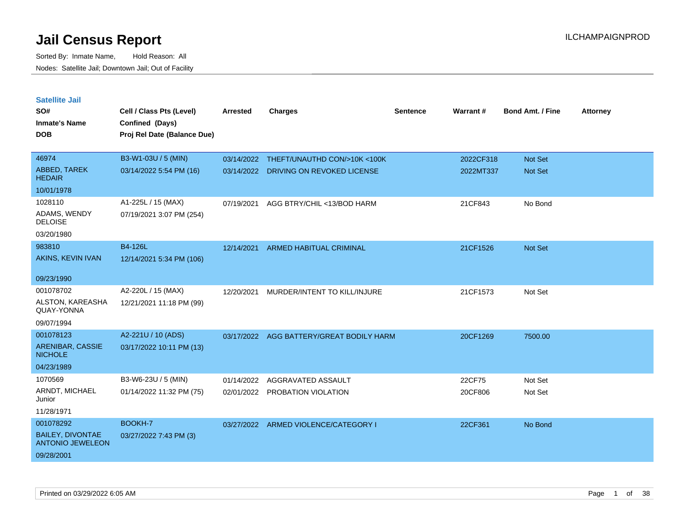| <b>Satellite Jail</b><br>SO#<br><b>Inmate's Name</b><br><b>DOB</b> | Cell / Class Pts (Level)<br>Confined (Days)<br>Proj Rel Date (Balance Due) | <b>Arrested</b> | <b>Charges</b>                 | <b>Sentence</b> | Warrant#  | <b>Bond Amt. / Fine</b> | <b>Attorney</b> |
|--------------------------------------------------------------------|----------------------------------------------------------------------------|-----------------|--------------------------------|-----------------|-----------|-------------------------|-----------------|
| 46974                                                              | B3-W1-03U / 5 (MIN)                                                        | 03/14/2022      | THEFT/UNAUTHD CON/>10K <100K   |                 | 2022CF318 | <b>Not Set</b>          |                 |
| ABBED, TAREK<br><b>HEDAIR</b>                                      | 03/14/2022 5:54 PM (16)                                                    | 03/14/2022      | DRIVING ON REVOKED LICENSE     |                 | 2022MT337 | <b>Not Set</b>          |                 |
| 10/01/1978                                                         |                                                                            |                 |                                |                 |           |                         |                 |
| 1028110<br>ADAMS, WENDY<br><b>DELOISE</b>                          | A1-225L / 15 (MAX)<br>07/19/2021 3:07 PM (254)                             | 07/19/2021      | AGG BTRY/CHIL <13/BOD HARM     |                 | 21CF843   | No Bond                 |                 |
| 03/20/1980                                                         |                                                                            |                 |                                |                 |           |                         |                 |
| 983810                                                             | B4-126L                                                                    | 12/14/2021      | ARMED HABITUAL CRIMINAL        |                 | 21CF1526  | <b>Not Set</b>          |                 |
| AKINS, KEVIN IVAN<br>09/23/1990                                    | 12/14/2021 5:34 PM (106)                                                   |                 |                                |                 |           |                         |                 |
| 001078702                                                          | A2-220L / 15 (MAX)                                                         | 12/20/2021      | MURDER/INTENT TO KILL/INJURE   |                 | 21CF1573  | Not Set                 |                 |
| ALSTON, KAREASHA<br>QUAY-YONNA                                     | 12/21/2021 11:18 PM (99)                                                   |                 |                                |                 |           |                         |                 |
| 09/07/1994                                                         |                                                                            |                 |                                |                 |           |                         |                 |
| 001078123                                                          | A2-221U / 10 (ADS)                                                         | 03/17/2022      | AGG BATTERY/GREAT BODILY HARM  |                 | 20CF1269  | 7500.00                 |                 |
| <b>ARENIBAR, CASSIE</b><br><b>NICHOLE</b>                          | 03/17/2022 10:11 PM (13)                                                   |                 |                                |                 |           |                         |                 |
| 04/23/1989                                                         |                                                                            |                 |                                |                 |           |                         |                 |
| 1070569                                                            | B3-W6-23U / 5 (MIN)                                                        | 01/14/2022      | AGGRAVATED ASSAULT             |                 | 22CF75    | Not Set                 |                 |
| ARNDT, MICHAEL<br>Junior                                           | 01/14/2022 11:32 PM (75)                                                   |                 | 02/01/2022 PROBATION VIOLATION |                 | 20CF806   | Not Set                 |                 |
| 11/28/1971                                                         |                                                                            |                 |                                |                 |           |                         |                 |
| 001078292                                                          | BOOKH-7                                                                    | 03/27/2022      | ARMED VIOLENCE/CATEGORY I      |                 | 22CF361   | No Bond                 |                 |
| <b>BAILEY, DIVONTAE</b><br><b>ANTONIO JEWELEON</b>                 | 03/27/2022 7:43 PM (3)                                                     |                 |                                |                 |           |                         |                 |
| 09/28/2001                                                         |                                                                            |                 |                                |                 |           |                         |                 |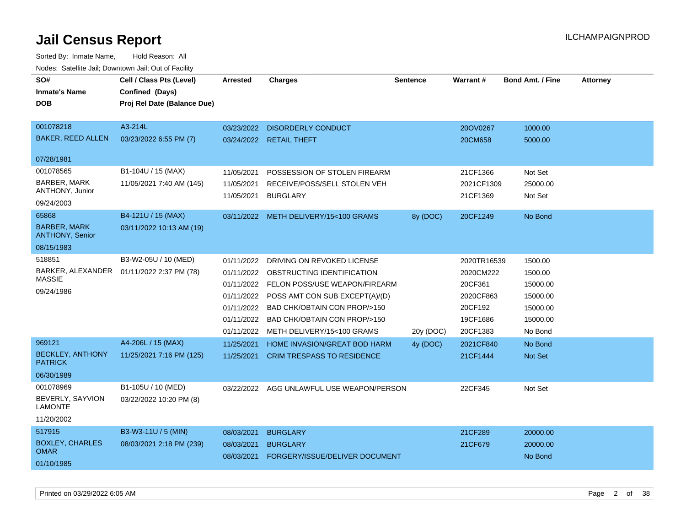| SO#<br><b>Inmate's Name</b><br><b>DOB</b><br>001078218               | Cell / Class Pts (Level)<br>Confined (Days)<br>Proj Rel Date (Balance Due)<br>A3-214L | <b>Arrested</b><br>03/23/2022                                                    | <b>Charges</b><br><b>DISORDERLY CONDUCT</b>                                                                                                                                                                                          | <b>Sentence</b> | <b>Warrant#</b><br>20OV0267                                                         | <b>Bond Amt. / Fine</b><br>1000.00                                            | <b>Attorney</b> |
|----------------------------------------------------------------------|---------------------------------------------------------------------------------------|----------------------------------------------------------------------------------|--------------------------------------------------------------------------------------------------------------------------------------------------------------------------------------------------------------------------------------|-----------------|-------------------------------------------------------------------------------------|-------------------------------------------------------------------------------|-----------------|
| <b>BAKER, REED ALLEN</b>                                             | 03/23/2022 6:55 PM (7)                                                                |                                                                                  | 03/24/2022 RETAIL THEFT                                                                                                                                                                                                              |                 | 20CM658                                                                             | 5000.00                                                                       |                 |
| 07/28/1981                                                           |                                                                                       |                                                                                  |                                                                                                                                                                                                                                      |                 |                                                                                     |                                                                               |                 |
| 001078565<br><b>BARBER, MARK</b><br>ANTHONY, Junior<br>09/24/2003    | B1-104U / 15 (MAX)<br>11/05/2021 7:40 AM (145)                                        | 11/05/2021<br>11/05/2021<br>11/05/2021                                           | POSSESSION OF STOLEN FIREARM<br>RECEIVE/POSS/SELL STOLEN VEH<br><b>BURGLARY</b>                                                                                                                                                      |                 | 21CF1366<br>2021CF1309<br>21CF1369                                                  | Not Set<br>25000.00<br>Not Set                                                |                 |
| 65868<br><b>BARBER, MARK</b><br><b>ANTHONY, Senior</b><br>08/15/1983 | B4-121U / 15 (MAX)<br>03/11/2022 10:13 AM (19)                                        |                                                                                  | 03/11/2022 METH DELIVERY/15<100 GRAMS                                                                                                                                                                                                | 8y (DOC)        | 20CF1249                                                                            | No Bond                                                                       |                 |
| 518851<br><b>MASSIE</b><br>09/24/1986                                | B3-W2-05U / 10 (MED)<br>BARKER, ALEXANDER  01/11/2022 2:37 PM (78)                    | 01/11/2022<br>01/11/2022<br>01/11/2022<br>01/11/2022<br>01/11/2022<br>01/11/2022 | DRIVING ON REVOKED LICENSE<br>OBSTRUCTING IDENTIFICATION<br>01/11/2022 FELON POSS/USE WEAPON/FIREARM<br>POSS AMT CON SUB EXCEPT(A)/(D)<br>BAD CHK/OBTAIN CON PROP/>150<br>BAD CHK/OBTAIN CON PROP/>150<br>METH DELIVERY/15<100 GRAMS | 20y (DOC)       | 2020TR16539<br>2020CM222<br>20CF361<br>2020CF863<br>20CF192<br>19CF1686<br>20CF1383 | 1500.00<br>1500.00<br>15000.00<br>15000.00<br>15000.00<br>15000.00<br>No Bond |                 |
| 969121<br><b>BECKLEY, ANTHONY</b><br><b>PATRICK</b><br>06/30/1989    | A4-206L / 15 (MAX)<br>11/25/2021 7:16 PM (125)                                        | 11/25/2021<br>11/25/2021                                                         | HOME INVASION/GREAT BOD HARM<br><b>CRIM TRESPASS TO RESIDENCE</b>                                                                                                                                                                    | 4y (DOC)        | 2021CF840<br>21CF1444                                                               | No Bond<br>Not Set                                                            |                 |
| 001078969<br>BEVERLY, SAYVION<br><b>LAMONTE</b><br>11/20/2002        | B1-105U / 10 (MED)<br>03/22/2022 10:20 PM (8)                                         |                                                                                  | 03/22/2022 AGG UNLAWFUL USE WEAPON/PERSON                                                                                                                                                                                            |                 | 22CF345                                                                             | Not Set                                                                       |                 |
| 517915<br><b>BOXLEY, CHARLES</b><br><b>OMAR</b><br>01/10/1985        | B3-W3-11U / 5 (MIN)<br>08/03/2021 2:18 PM (239)                                       | 08/03/2021<br>08/03/2021<br>08/03/2021                                           | <b>BURGLARY</b><br><b>BURGLARY</b><br>FORGERY/ISSUE/DELIVER DOCUMENT                                                                                                                                                                 |                 | 21CF289<br>21CF679                                                                  | 20000.00<br>20000.00<br>No Bond                                               |                 |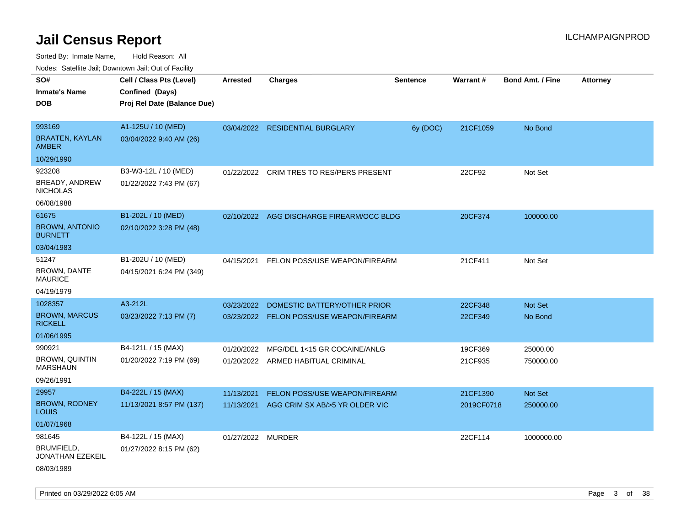Sorted By: Inmate Name, Hold Reason: All

| Nodes: Satellite Jail; Downtown Jail; Out of Facility |                             |                   |                                           |                 |            |                         |                 |  |  |  |
|-------------------------------------------------------|-----------------------------|-------------------|-------------------------------------------|-----------------|------------|-------------------------|-----------------|--|--|--|
| SO#                                                   | Cell / Class Pts (Level)    | <b>Arrested</b>   | <b>Charges</b>                            | <b>Sentence</b> | Warrant#   | <b>Bond Amt. / Fine</b> | <b>Attorney</b> |  |  |  |
| <b>Inmate's Name</b>                                  | Confined (Days)             |                   |                                           |                 |            |                         |                 |  |  |  |
| <b>DOB</b>                                            | Proj Rel Date (Balance Due) |                   |                                           |                 |            |                         |                 |  |  |  |
|                                                       |                             |                   |                                           |                 |            |                         |                 |  |  |  |
| 993169                                                | A1-125U / 10 (MED)          |                   | 03/04/2022 RESIDENTIAL BURGLARY           | 6y (DOC)        | 21CF1059   | No Bond                 |                 |  |  |  |
| <b>BRAATEN, KAYLAN</b><br><b>AMBER</b>                | 03/04/2022 9:40 AM (26)     |                   |                                           |                 |            |                         |                 |  |  |  |
| 10/29/1990                                            |                             |                   |                                           |                 |            |                         |                 |  |  |  |
| 923208                                                | B3-W3-12L / 10 (MED)        | 01/22/2022        | <b>CRIM TRES TO RES/PERS PRESENT</b>      |                 | 22CF92     | Not Set                 |                 |  |  |  |
| BREADY, ANDREW<br><b>NICHOLAS</b>                     | 01/22/2022 7:43 PM (67)     |                   |                                           |                 |            |                         |                 |  |  |  |
| 06/08/1988                                            |                             |                   |                                           |                 |            |                         |                 |  |  |  |
| 61675                                                 | B1-202L / 10 (MED)          |                   | 02/10/2022 AGG DISCHARGE FIREARM/OCC BLDG |                 | 20CF374    | 100000.00               |                 |  |  |  |
| <b>BROWN, ANTONIO</b><br><b>BURNETT</b>               | 02/10/2022 3:28 PM (48)     |                   |                                           |                 |            |                         |                 |  |  |  |
| 03/04/1983                                            |                             |                   |                                           |                 |            |                         |                 |  |  |  |
| 51247                                                 | B1-202U / 10 (MED)          | 04/15/2021        | FELON POSS/USE WEAPON/FIREARM             |                 | 21CF411    | Not Set                 |                 |  |  |  |
| BROWN, DANTE<br><b>MAURICE</b>                        | 04/15/2021 6:24 PM (349)    |                   |                                           |                 |            |                         |                 |  |  |  |
| 04/19/1979                                            |                             |                   |                                           |                 |            |                         |                 |  |  |  |
| 1028357                                               | A3-212L                     | 03/23/2022        | DOMESTIC BATTERY/OTHER PRIOR              |                 | 22CF348    | Not Set                 |                 |  |  |  |
| <b>BROWN, MARCUS</b><br><b>RICKELL</b>                | 03/23/2022 7:13 PM (7)      |                   | 03/23/2022 FELON POSS/USE WEAPON/FIREARM  |                 | 22CF349    | No Bond                 |                 |  |  |  |
| 01/06/1995                                            |                             |                   |                                           |                 |            |                         |                 |  |  |  |
| 990921                                                | B4-121L / 15 (MAX)          | 01/20/2022        | MFG/DEL 1<15 GR COCAINE/ANLG              |                 | 19CF369    | 25000.00                |                 |  |  |  |
| <b>BROWN, QUINTIN</b><br><b>MARSHAUN</b>              | 01/20/2022 7:19 PM (69)     |                   | 01/20/2022 ARMED HABITUAL CRIMINAL        |                 | 21CF935    | 750000.00               |                 |  |  |  |
| 09/26/1991                                            |                             |                   |                                           |                 |            |                         |                 |  |  |  |
| 29957                                                 | B4-222L / 15 (MAX)          | 11/13/2021        | FELON POSS/USE WEAPON/FIREARM             |                 | 21CF1390   | Not Set                 |                 |  |  |  |
| <b>BROWN, RODNEY</b><br><b>LOUIS</b>                  | 11/13/2021 8:57 PM (137)    | 11/13/2021        | AGG CRIM SX AB/>5 YR OLDER VIC            |                 | 2019CF0718 | 250000.00               |                 |  |  |  |
| 01/07/1968                                            |                             |                   |                                           |                 |            |                         |                 |  |  |  |
| 981645                                                | B4-122L / 15 (MAX)          | 01/27/2022 MURDER |                                           |                 | 22CF114    | 1000000.00              |                 |  |  |  |
| BRUMFIELD,<br>JONATHAN EZEKEIL                        | 01/27/2022 8:15 PM (62)     |                   |                                           |                 |            |                         |                 |  |  |  |
| 08/03/1989                                            |                             |                   |                                           |                 |            |                         |                 |  |  |  |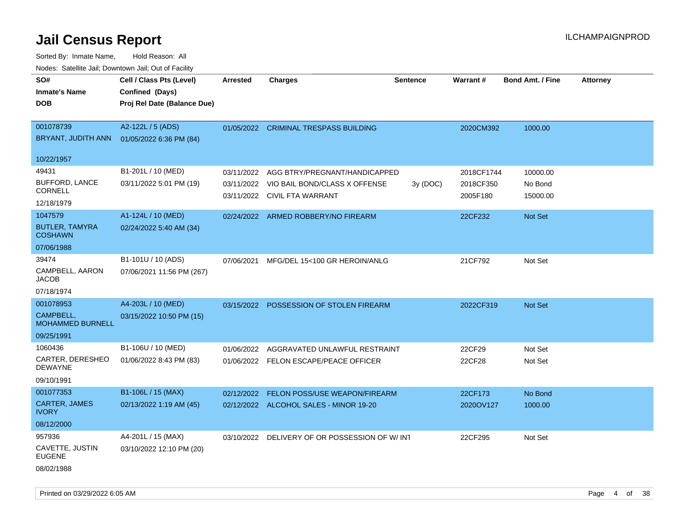Sorted By: Inmate Name, Hold Reason: All Nodes: Satellite Jail; Downtown Jail; Out of Facility

| SO#<br><b>Inmate's Name</b><br><b>DOB</b>                      | Cell / Class Pts (Level)<br>Confined (Days)<br>Proj Rel Date (Balance Due) | <b>Arrested</b>          | <b>Charges</b>                                                                                 | <b>Sentence</b> | Warrant#                            | <b>Bond Amt. / Fine</b>         | <b>Attorney</b> |
|----------------------------------------------------------------|----------------------------------------------------------------------------|--------------------------|------------------------------------------------------------------------------------------------|-----------------|-------------------------------------|---------------------------------|-----------------|
| 001078739<br>BRYANT, JUDITH ANN                                | A2-122L / 5 (ADS)<br>01/05/2022 6:36 PM (84)                               |                          | 01/05/2022 CRIMINAL TRESPASS BUILDING                                                          |                 | 2020CM392                           | 1000.00                         |                 |
| 10/22/1957                                                     |                                                                            |                          |                                                                                                |                 |                                     |                                 |                 |
| 49431<br><b>BUFFORD, LANCE</b><br><b>CORNELL</b><br>12/18/1979 | B1-201L / 10 (MED)<br>03/11/2022 5:01 PM (19)                              | 03/11/2022<br>03/11/2022 | AGG BTRY/PREGNANT/HANDICAPPED<br>VIO BAIL BOND/CLASS X OFFENSE<br>03/11/2022 CIVIL FTA WARRANT | 3y (DOC)        | 2018CF1744<br>2018CF350<br>2005F180 | 10000.00<br>No Bond<br>15000.00 |                 |
| 1047579                                                        | A1-124L / 10 (MED)                                                         |                          | 02/24/2022 ARMED ROBBERY/NO FIREARM                                                            |                 | 22CF232                             | Not Set                         |                 |
| <b>BUTLER, TAMYRA</b><br><b>COSHAWN</b>                        | 02/24/2022 5:40 AM (34)                                                    |                          |                                                                                                |                 |                                     |                                 |                 |
| 07/06/1988                                                     |                                                                            |                          |                                                                                                |                 |                                     |                                 |                 |
| 39474<br>CAMPBELL, AARON<br><b>JACOB</b>                       | B1-101U / 10 (ADS)<br>07/06/2021 11:56 PM (267)                            | 07/06/2021               | MFG/DEL 15<100 GR HEROIN/ANLG                                                                  |                 | 21CF792                             | Not Set                         |                 |
| 07/18/1974                                                     |                                                                            |                          |                                                                                                |                 |                                     |                                 |                 |
| 001078953<br>CAMPBELL.<br><b>MOHAMMED BURNELL</b>              | A4-203L / 10 (MED)<br>03/15/2022 10:50 PM (15)                             |                          | 03/15/2022 POSSESSION OF STOLEN FIREARM                                                        |                 | 2022CF319                           | <b>Not Set</b>                  |                 |
| 09/25/1991                                                     |                                                                            |                          |                                                                                                |                 |                                     |                                 |                 |
| 1060436<br>CARTER, DERESHEO<br><b>DEWAYNE</b><br>09/10/1991    | B1-106U / 10 (MED)<br>01/06/2022 8:43 PM (83)                              | 01/06/2022               | AGGRAVATED UNLAWFUL RESTRAINT<br>01/06/2022 FELON ESCAPE/PEACE OFFICER                         |                 | 22CF29<br>22CF28                    | Not Set<br>Not Set              |                 |
| 001077353                                                      | B1-106L / 15 (MAX)                                                         | 02/12/2022               | FELON POSS/USE WEAPON/FIREARM                                                                  |                 | 22CF173                             | No Bond                         |                 |
| CARTER, JAMES<br><b>IVORY</b>                                  | 02/13/2022 1:19 AM (45)                                                    |                          | 02/12/2022 ALCOHOL SALES - MINOR 19-20                                                         |                 | 2020OV127                           | 1000.00                         |                 |
| 08/12/2000                                                     |                                                                            |                          |                                                                                                |                 |                                     |                                 |                 |
| 957936                                                         | A4-201L / 15 (MAX)                                                         | 03/10/2022               | DELIVERY OF OR POSSESSION OF W/INT                                                             |                 | 22CF295                             | Not Set                         |                 |
| CAVETTE, JUSTIN<br><b>EUGENE</b>                               | 03/10/2022 12:10 PM (20)                                                   |                          |                                                                                                |                 |                                     |                                 |                 |
| 08/02/1988                                                     |                                                                            |                          |                                                                                                |                 |                                     |                                 |                 |

Printed on 03/29/2022 6:05 AM Page 4 of 38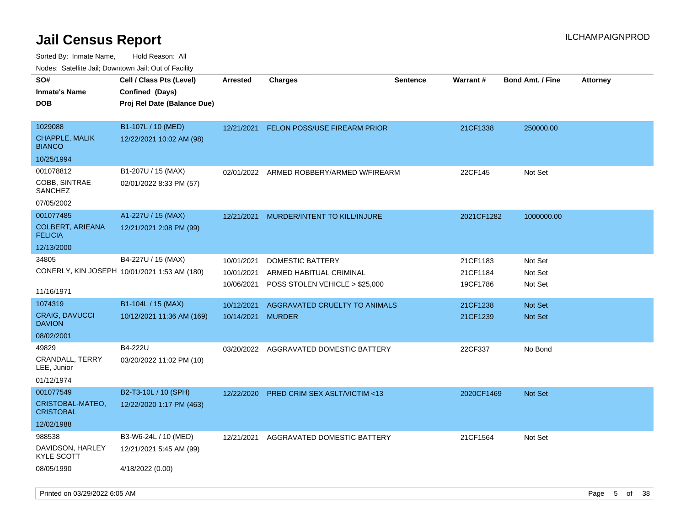| 10000. Catolino can, Domntonn can, Cat or I doint |                                                    |                 |                                          |                 |            |                         |                 |
|---------------------------------------------------|----------------------------------------------------|-----------------|------------------------------------------|-----------------|------------|-------------------------|-----------------|
| SO#<br>Inmate's Name                              | Cell / Class Pts (Level)<br><b>Confined (Days)</b> | <b>Arrested</b> | Charges                                  | <b>Sentence</b> | Warrant#   | <b>Bond Amt. / Fine</b> | <b>Attorney</b> |
| DOB                                               | Proj Rel Date (Balance Due)                        |                 |                                          |                 |            |                         |                 |
| 1029088                                           | B1-107L / 10 (MED)                                 | 12/21/2021      | <b>FELON POSS/USE FIREARM PRIOR</b>      |                 | 21CF1338   | 250000.00               |                 |
| <b>CHAPPLE, MALIK</b><br><b>BIANCO</b>            | 12/22/2021 10:02 AM (98)                           |                 |                                          |                 |            |                         |                 |
| 10/25/1994                                        |                                                    |                 |                                          |                 |            |                         |                 |
| 001078812                                         | B1-207U / 15 (MAX)                                 |                 | 02/01/2022 ARMED ROBBERY/ARMED W/FIREARM |                 | 22CF145    | Not Set                 |                 |
| COBB, SINTRAE<br>SANCHEZ                          | 02/01/2022 8:33 PM (57)                            |                 |                                          |                 |            |                         |                 |
| 07/05/2002                                        |                                                    |                 |                                          |                 |            |                         |                 |
| 001077485                                         | A1-227U / 15 (MAX)                                 | 12/21/2021      | MURDER/INTENT TO KILL/INJURE             |                 | 2021CF1282 | 1000000.00              |                 |
| COLBERT, ARIEANA<br><b>FELICIA</b>                | 12/21/2021 2:08 PM (99)                            |                 |                                          |                 |            |                         |                 |
| 12/13/2000                                        |                                                    |                 |                                          |                 |            |                         |                 |
| 34805                                             | B4-227U / 15 (MAX)                                 | 10/01/2021      | <b>DOMESTIC BATTERY</b>                  |                 | 21CF1183   | Not Set                 |                 |
|                                                   | CONERLY, KIN JOSEPH 10/01/2021 1:53 AM (180)       | 10/01/2021      | ARMED HABITUAL CRIMINAL                  |                 | 21CF1184   | Not Set                 |                 |
| 11/16/1971                                        |                                                    | 10/06/2021      | POSS STOLEN VEHICLE > \$25,000           |                 | 19CF1786   | Not Set                 |                 |
| 1074319                                           | B1-104L / 15 (MAX)                                 | 10/12/2021      | AGGRAVATED CRUELTY TO ANIMALS            |                 | 21CF1238   | Not Set                 |                 |
| <b>CRAIG, DAVUCCI</b><br><b>DAVION</b>            | 10/12/2021 11:36 AM (169)                          | 10/14/2021      | <b>MURDER</b>                            |                 | 21CF1239   | <b>Not Set</b>          |                 |
| 08/02/2001                                        |                                                    |                 |                                          |                 |            |                         |                 |
| 49829                                             | B4-222U                                            | 03/20/2022      | AGGRAVATED DOMESTIC BATTERY              |                 | 22CF337    | No Bond                 |                 |
| CRANDALL, TERRY<br>LEE, Junior                    | 03/20/2022 11:02 PM (10)                           |                 |                                          |                 |            |                         |                 |
| 01/12/1974                                        |                                                    |                 |                                          |                 |            |                         |                 |
| 001077549                                         | B2-T3-10L / 10 (SPH)                               | 12/22/2020      | <b>PRED CRIM SEX ASLT/VICTIM &lt;13</b>  |                 | 2020CF1469 | <b>Not Set</b>          |                 |
| CRISTOBAL-MATEO,<br>CRISTOBAL                     | 12/22/2020 1:17 PM (463)                           |                 |                                          |                 |            |                         |                 |
| 12/02/1988                                        |                                                    |                 |                                          |                 |            |                         |                 |
| 988538                                            | B3-W6-24L / 10 (MED)                               | 12/21/2021      | AGGRAVATED DOMESTIC BATTERY              |                 | 21CF1564   | Not Set                 |                 |
| DAVIDSON, HARLEY<br>KYLE SCOTT                    | 12/21/2021 5:45 AM (99)                            |                 |                                          |                 |            |                         |                 |
| 08/05/1990                                        | 4/18/2022 (0.00)                                   |                 |                                          |                 |            |                         |                 |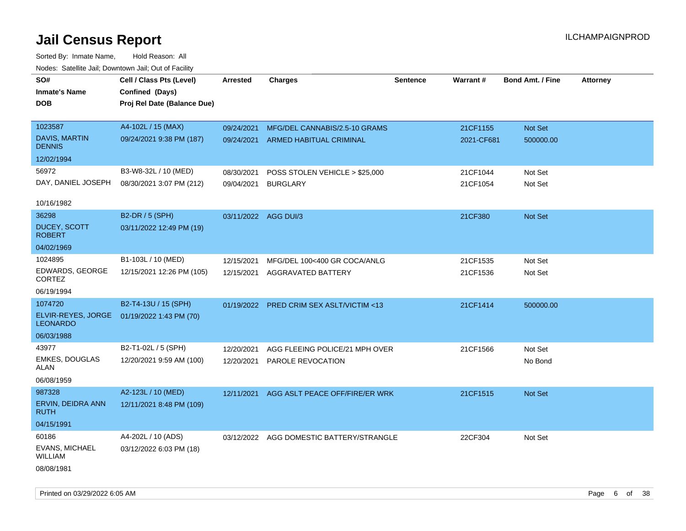| roaco. Catolino dall, Downtown dall, Out of Fability |                             |                      |                                          |                 |            |                         |                 |
|------------------------------------------------------|-----------------------------|----------------------|------------------------------------------|-----------------|------------|-------------------------|-----------------|
| SO#                                                  | Cell / Class Pts (Level)    | Arrested             | <b>Charges</b>                           | <b>Sentence</b> | Warrant#   | <b>Bond Amt. / Fine</b> | <b>Attorney</b> |
| <b>Inmate's Name</b>                                 | Confined (Days)             |                      |                                          |                 |            |                         |                 |
| <b>DOB</b>                                           | Proj Rel Date (Balance Due) |                      |                                          |                 |            |                         |                 |
|                                                      |                             |                      |                                          |                 |            |                         |                 |
| 1023587                                              | A4-102L / 15 (MAX)          | 09/24/2021           | MFG/DEL CANNABIS/2.5-10 GRAMS            |                 | 21CF1155   | Not Set                 |                 |
| <b>DAVIS, MARTIN</b><br><b>DENNIS</b>                | 09/24/2021 9:38 PM (187)    |                      | 09/24/2021 ARMED HABITUAL CRIMINAL       |                 | 2021-CF681 | 500000.00               |                 |
| 12/02/1994                                           |                             |                      |                                          |                 |            |                         |                 |
| 56972                                                | B3-W8-32L / 10 (MED)        | 08/30/2021           | POSS STOLEN VEHICLE > \$25,000           |                 | 21CF1044   | Not Set                 |                 |
| DAY, DANIEL JOSEPH                                   | 08/30/2021 3:07 PM (212)    | 09/04/2021           | <b>BURGLARY</b>                          |                 | 21CF1054   | Not Set                 |                 |
|                                                      |                             |                      |                                          |                 |            |                         |                 |
| 10/16/1982                                           |                             |                      |                                          |                 |            |                         |                 |
| 36298                                                | B2-DR / 5 (SPH)             | 03/11/2022 AGG DUI/3 |                                          |                 | 21CF380    | Not Set                 |                 |
| DUCEY, SCOTT<br><b>ROBERT</b>                        | 03/11/2022 12:49 PM (19)    |                      |                                          |                 |            |                         |                 |
| 04/02/1969                                           |                             |                      |                                          |                 |            |                         |                 |
| 1024895                                              | B1-103L / 10 (MED)          | 12/15/2021           | MFG/DEL 100<400 GR COCA/ANLG             |                 | 21CF1535   | Not Set                 |                 |
| EDWARDS, GEORGE<br><b>CORTEZ</b>                     | 12/15/2021 12:26 PM (105)   | 12/15/2021           | AGGRAVATED BATTERY                       |                 | 21CF1536   | Not Set                 |                 |
| 06/19/1994                                           |                             |                      |                                          |                 |            |                         |                 |
| 1074720                                              | B2-T4-13U / 15 (SPH)        |                      | 01/19/2022 PRED CRIM SEX ASLT/VICTIM <13 |                 | 21CF1414   | 500000.00               |                 |
| ELVIR-REYES, JORGE<br><b>LEONARDO</b>                | 01/19/2022 1:43 PM (70)     |                      |                                          |                 |            |                         |                 |
| 06/03/1988                                           |                             |                      |                                          |                 |            |                         |                 |
| 43977                                                | B2-T1-02L / 5 (SPH)         | 12/20/2021           | AGG FLEEING POLICE/21 MPH OVER           |                 | 21CF1566   | Not Set                 |                 |
| <b>EMKES, DOUGLAS</b><br>ALAN                        | 12/20/2021 9:59 AM (100)    | 12/20/2021           | PAROLE REVOCATION                        |                 |            | No Bond                 |                 |
| 06/08/1959                                           |                             |                      |                                          |                 |            |                         |                 |
| 987328                                               | A2-123L / 10 (MED)          | 12/11/2021           | AGG ASLT PEACE OFF/FIRE/ER WRK           |                 | 21CF1515   | <b>Not Set</b>          |                 |
| ERVIN, DEIDRA ANN<br>RUTH                            | 12/11/2021 8:48 PM (109)    |                      |                                          |                 |            |                         |                 |
| 04/15/1991                                           |                             |                      |                                          |                 |            |                         |                 |
| 60186                                                | A4-202L / 10 (ADS)          |                      | 03/12/2022 AGG DOMESTIC BATTERY/STRANGLE |                 | 22CF304    | Not Set                 |                 |
| EVANS, MICHAEL<br>WILLIAM                            | 03/12/2022 6:03 PM (18)     |                      |                                          |                 |            |                         |                 |
| 08/08/1981                                           |                             |                      |                                          |                 |            |                         |                 |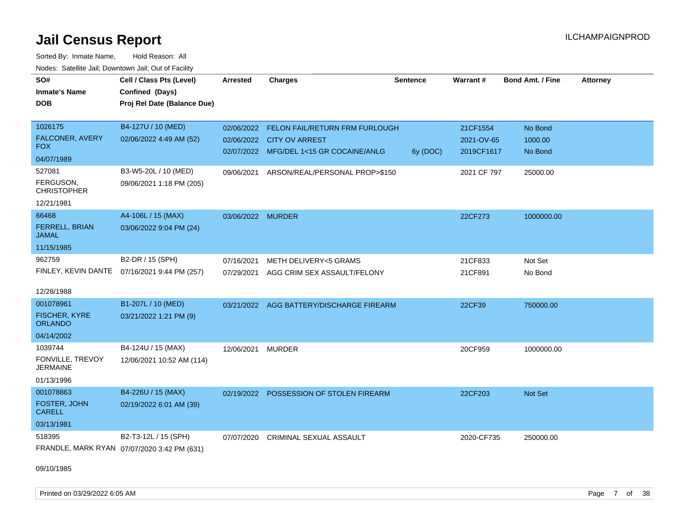Sorted By: Inmate Name, Hold Reason: All Nodes: Satellite Jail; Downtown Jail; Out of Facility

| SO#                                    | Cell / Class Pts (Level)                     |                   | <b>Charges</b>                                                       | <b>Sentence</b> | Warrant#                 | <b>Bond Amt. / Fine</b> | <b>Attorney</b> |
|----------------------------------------|----------------------------------------------|-------------------|----------------------------------------------------------------------|-----------------|--------------------------|-------------------------|-----------------|
|                                        |                                              | <b>Arrested</b>   |                                                                      |                 |                          |                         |                 |
| <b>Inmate's Name</b>                   | Confined (Days)                              |                   |                                                                      |                 |                          |                         |                 |
| <b>DOB</b>                             | Proj Rel Date (Balance Due)                  |                   |                                                                      |                 |                          |                         |                 |
|                                        |                                              |                   |                                                                      |                 |                          |                         |                 |
| 1026175                                | B4-127U / 10 (MED)                           | 02/06/2022        | FELON FAIL/RETURN FRM FURLOUGH                                       |                 | 21CF1554                 | No Bond                 |                 |
| <b>FALCONER, AVERY</b><br>FOX.         | 02/06/2022 4:49 AM (52)                      |                   | 02/06/2022 CITY OV ARREST<br>02/07/2022 MFG/DEL 1<15 GR COCAINE/ANLG | 6y (DOC)        | 2021-OV-65<br>2019CF1617 | 1000.00<br>No Bond      |                 |
| 04/07/1989                             |                                              |                   |                                                                      |                 |                          |                         |                 |
| 527081                                 | B3-W5-20L / 10 (MED)                         |                   | 09/06/2021 ARSON/REAL/PERSONAL PROP>\$150                            |                 | 2021 CF 797              | 25000.00                |                 |
| FERGUSON,<br><b>CHRISTOPHER</b>        | 09/06/2021 1:18 PM (205)                     |                   |                                                                      |                 |                          |                         |                 |
| 12/21/1981                             |                                              |                   |                                                                      |                 |                          |                         |                 |
| 66468                                  | A4-106L / 15 (MAX)                           | 03/06/2022 MURDER |                                                                      |                 | 22CF273                  | 1000000.00              |                 |
| <b>FERRELL, BRIAN</b><br><b>JAMAL</b>  | 03/06/2022 9:04 PM (24)                      |                   |                                                                      |                 |                          |                         |                 |
| 11/15/1985                             |                                              |                   |                                                                      |                 |                          |                         |                 |
| 962759                                 | B2-DR / 15 (SPH)                             | 07/16/2021        | <b>METH DELIVERY&lt;5 GRAMS</b>                                      |                 | 21CF833                  | Not Set                 |                 |
|                                        | FINLEY, KEVIN DANTE 07/16/2021 9:44 PM (257) | 07/29/2021        | AGG CRIM SEX ASSAULT/FELONY                                          |                 | 21CF891                  | No Bond                 |                 |
|                                        |                                              |                   |                                                                      |                 |                          |                         |                 |
| 12/28/1988                             |                                              |                   |                                                                      |                 |                          |                         |                 |
| 001078961                              | B1-207L / 10 (MED)                           |                   | 03/21/2022 AGG BATTERY/DISCHARGE FIREARM                             |                 | 22CF39                   | 750000.00               |                 |
| <b>FISCHER, KYRE</b><br><b>ORLANDO</b> | 03/21/2022 1:21 PM (9)                       |                   |                                                                      |                 |                          |                         |                 |
| 04/14/2002                             |                                              |                   |                                                                      |                 |                          |                         |                 |
| 1039744                                | B4-124U / 15 (MAX)                           | 12/06/2021        | MURDER                                                               |                 | 20CF959                  | 1000000.00              |                 |
| FONVILLE, TREVOY<br><b>JERMAINE</b>    | 12/06/2021 10:52 AM (114)                    |                   |                                                                      |                 |                          |                         |                 |
| 01/13/1996                             |                                              |                   |                                                                      |                 |                          |                         |                 |
| 001078863                              | B4-226U / 15 (MAX)                           | 02/19/2022        | POSSESSION OF STOLEN FIREARM                                         |                 | 22CF203                  | Not Set                 |                 |
| FOSTER, JOHN<br><b>CARELL</b>          | 02/19/2022 6:01 AM (39)                      |                   |                                                                      |                 |                          |                         |                 |
| 03/13/1981                             |                                              |                   |                                                                      |                 |                          |                         |                 |
| 518395                                 | B2-T3-12L / 15 (SPH)                         | 07/07/2020        | <b>CRIMINAL SEXUAL ASSAULT</b>                                       |                 | 2020-CF735               | 250000.00               |                 |
|                                        | FRANDLE, MARK RYAN 07/07/2020 3:42 PM (631)  |                   |                                                                      |                 |                          |                         |                 |

09/10/1985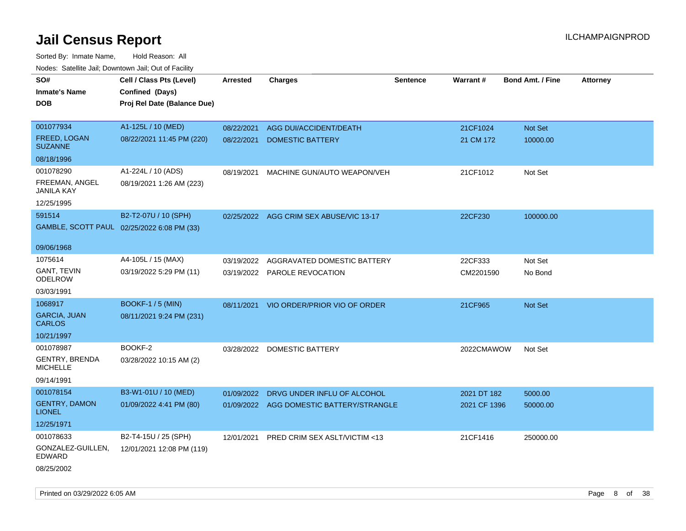| Todoo: Catolino can, Bomnomii can, Oat of Faoint<br>SO#<br><b>Inmate's Name</b><br><b>DOB</b> | Cell / Class Pts (Level)<br>Confined (Days)<br>Proj Rel Date (Balance Due) | Arrested   | <b>Charges</b>                           | Sentence | <b>Warrant#</b> | <b>Bond Amt. / Fine</b> | <b>Attorney</b> |
|-----------------------------------------------------------------------------------------------|----------------------------------------------------------------------------|------------|------------------------------------------|----------|-----------------|-------------------------|-----------------|
| 001077934                                                                                     | A1-125L / 10 (MED)                                                         | 08/22/2021 | AGG DUI/ACCIDENT/DEATH                   |          | 21CF1024        | Not Set                 |                 |
| <b>FREED, LOGAN</b><br><b>SUZANNE</b>                                                         | 08/22/2021 11:45 PM (220)                                                  | 08/22/2021 | <b>DOMESTIC BATTERY</b>                  |          | 21 CM 172       | 10000.00                |                 |
| 08/18/1996                                                                                    |                                                                            |            |                                          |          |                 |                         |                 |
| 001078290                                                                                     | A1-224L / 10 (ADS)                                                         | 08/19/2021 | MACHINE GUN/AUTO WEAPON/VEH              |          | 21CF1012        | Not Set                 |                 |
| FREEMAN, ANGEL<br>JANILA KAY                                                                  | 08/19/2021 1:26 AM (223)                                                   |            |                                          |          |                 |                         |                 |
| 12/25/1995                                                                                    |                                                                            |            |                                          |          |                 |                         |                 |
| 591514                                                                                        | B2-T2-07U / 10 (SPH)                                                       |            | 02/25/2022 AGG CRIM SEX ABUSE/VIC 13-17  |          | 22CF230         | 100000.00               |                 |
| GAMBLE, SCOTT PAUL 02/25/2022 6:08 PM (33)                                                    |                                                                            |            |                                          |          |                 |                         |                 |
| 09/06/1968                                                                                    |                                                                            |            |                                          |          |                 |                         |                 |
| 1075614                                                                                       | A4-105L / 15 (MAX)                                                         | 03/19/2022 | AGGRAVATED DOMESTIC BATTERY              |          | 22CF333         | Not Set                 |                 |
| <b>GANT, TEVIN</b><br><b>ODELROW</b>                                                          | 03/19/2022 5:29 PM (11)                                                    |            | 03/19/2022 PAROLE REVOCATION             |          | CM2201590       | No Bond                 |                 |
| 03/03/1991                                                                                    |                                                                            |            |                                          |          |                 |                         |                 |
| 1068917                                                                                       | <b>BOOKF-1/5 (MIN)</b>                                                     | 08/11/2021 | VIO ORDER/PRIOR VIO OF ORDER             |          | 21CF965         | Not Set                 |                 |
| <b>GARCIA, JUAN</b><br><b>CARLOS</b>                                                          | 08/11/2021 9:24 PM (231)                                                   |            |                                          |          |                 |                         |                 |
| 10/21/1997                                                                                    |                                                                            |            |                                          |          |                 |                         |                 |
| 001078987                                                                                     | BOOKF-2                                                                    | 03/28/2022 | DOMESTIC BATTERY                         |          | 2022CMAWOW      | Not Set                 |                 |
| <b>GENTRY, BRENDA</b><br><b>MICHELLE</b>                                                      | 03/28/2022 10:15 AM (2)                                                    |            |                                          |          |                 |                         |                 |
| 09/14/1991                                                                                    |                                                                            |            |                                          |          |                 |                         |                 |
| 001078154                                                                                     | B3-W1-01U / 10 (MED)                                                       | 01/09/2022 | DRVG UNDER INFLU OF ALCOHOL              |          | 2021 DT 182     | 5000.00                 |                 |
| <b>GENTRY, DAMON</b><br><b>LIONEL</b>                                                         | 01/09/2022 4:41 PM (80)                                                    |            | 01/09/2022 AGG DOMESTIC BATTERY/STRANGLE |          | 2021 CF 1396    | 50000.00                |                 |
| 12/25/1971                                                                                    |                                                                            |            |                                          |          |                 |                         |                 |
| 001078633                                                                                     | B2-T4-15U / 25 (SPH)                                                       | 12/01/2021 | PRED CRIM SEX ASLT/VICTIM <13            |          | 21CF1416        | 250000.00               |                 |
| GONZALEZ-GUILLEN,<br><b>EDWARD</b>                                                            | 12/01/2021 12:08 PM (119)                                                  |            |                                          |          |                 |                         |                 |
| 08/25/2002                                                                                    |                                                                            |            |                                          |          |                 |                         |                 |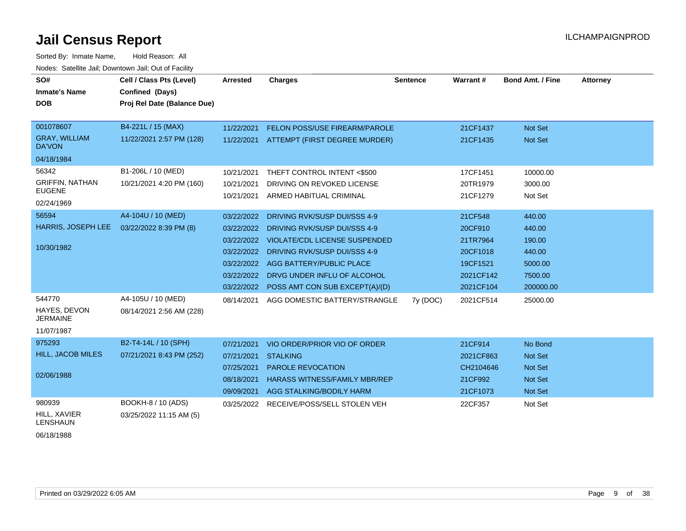Sorted By: Inmate Name, Hold Reason: All Nodes: Satellite Jail; Downtown Jail; Out of Facility

| SO#<br><b>Inmate's Name</b><br><b>DOB</b> | Cell / Class Pts (Level)<br><b>Confined (Days)</b><br>Proj Rel Date (Balance Due) | Arrested   | <b>Charges</b>                       | <b>Sentence</b> | Warrant#  | <b>Bond Amt. / Fine</b> | <b>Attorney</b> |
|-------------------------------------------|-----------------------------------------------------------------------------------|------------|--------------------------------------|-----------------|-----------|-------------------------|-----------------|
|                                           |                                                                                   |            |                                      |                 |           |                         |                 |
| 001078607                                 | B4-221L / 15 (MAX)                                                                | 11/22/2021 | FELON POSS/USE FIREARM/PAROLE        |                 | 21CF1437  | Not Set                 |                 |
| <b>GRAY, WILLIAM</b><br><b>DA'VON</b>     | 11/22/2021 2:57 PM (128)                                                          | 11/22/2021 | ATTEMPT (FIRST DEGREE MURDER)        |                 | 21CF1435  | <b>Not Set</b>          |                 |
| 04/18/1984                                |                                                                                   |            |                                      |                 |           |                         |                 |
| 56342                                     | B1-206L / 10 (MED)                                                                | 10/21/2021 | THEFT CONTROL INTENT <\$500          |                 | 17CF1451  | 10000.00                |                 |
| <b>GRIFFIN, NATHAN</b>                    | 10/21/2021 4:20 PM (160)                                                          | 10/21/2021 | DRIVING ON REVOKED LICENSE           |                 | 20TR1979  | 3000.00                 |                 |
| <b>EUGENE</b><br>02/24/1969               |                                                                                   | 10/21/2021 | ARMED HABITUAL CRIMINAL              |                 | 21CF1279  | Not Set                 |                 |
| 56594                                     | A4-104U / 10 (MED)                                                                | 03/22/2022 | DRIVING RVK/SUSP DUI/SSS 4-9         |                 | 21CF548   | 440.00                  |                 |
| HARRIS, JOSEPH LEE                        | 03/22/2022 8:39 PM (8)                                                            | 03/22/2022 | DRIVING RVK/SUSP DUI/SSS 4-9         |                 | 20CF910   | 440.00                  |                 |
| 10/30/1982                                |                                                                                   | 03/22/2022 | <b>VIOLATE/CDL LICENSE SUSPENDED</b> |                 | 21TR7964  | 190.00                  |                 |
|                                           |                                                                                   | 03/22/2022 | DRIVING RVK/SUSP DUI/SSS 4-9         |                 | 20CF1018  | 440.00                  |                 |
|                                           |                                                                                   | 03/22/2022 | AGG BATTERY/PUBLIC PLACE             |                 | 19CF1521  | 5000.00                 |                 |
|                                           |                                                                                   | 03/22/2022 | DRVG UNDER INFLU OF ALCOHOL          |                 | 2021CF142 | 7500.00                 |                 |
|                                           |                                                                                   | 03/22/2022 | POSS AMT CON SUB EXCEPT(A)/(D)       |                 | 2021CF104 | 200000.00               |                 |
| 544770<br>HAYES, DEVON<br><b>JERMAINE</b> | A4-105U / 10 (MED)<br>08/14/2021 2:56 AM (228)                                    | 08/14/2021 | AGG DOMESTIC BATTERY/STRANGLE        | 7y (DOC)        | 2021CF514 | 25000.00                |                 |
| 11/07/1987                                |                                                                                   |            |                                      |                 |           |                         |                 |
| 975293                                    | B2-T4-14L / 10 (SPH)                                                              | 07/21/2021 | VIO ORDER/PRIOR VIO OF ORDER         |                 | 21CF914   | No Bond                 |                 |
| <b>HILL, JACOB MILES</b>                  | 07/21/2021 8:43 PM (252)                                                          | 07/21/2021 | <b>STALKING</b>                      |                 | 2021CF863 | <b>Not Set</b>          |                 |
|                                           |                                                                                   | 07/25/2021 | <b>PAROLE REVOCATION</b>             |                 | CH2104646 | <b>Not Set</b>          |                 |
| 02/06/1988                                |                                                                                   | 08/18/2021 | <b>HARASS WITNESS/FAMILY MBR/REP</b> |                 | 21CF992   | <b>Not Set</b>          |                 |
|                                           |                                                                                   | 09/09/2021 | AGG STALKING/BODILY HARM             |                 | 21CF1073  | <b>Not Set</b>          |                 |
| 980939<br>HILL, XAVIER<br><b>LENSHAUN</b> | BOOKH-8 / 10 (ADS)<br>03/25/2022 11:15 AM (5)                                     | 03/25/2022 | RECEIVE/POSS/SELL STOLEN VEH         |                 | 22CF357   | Not Set                 |                 |

06/18/1988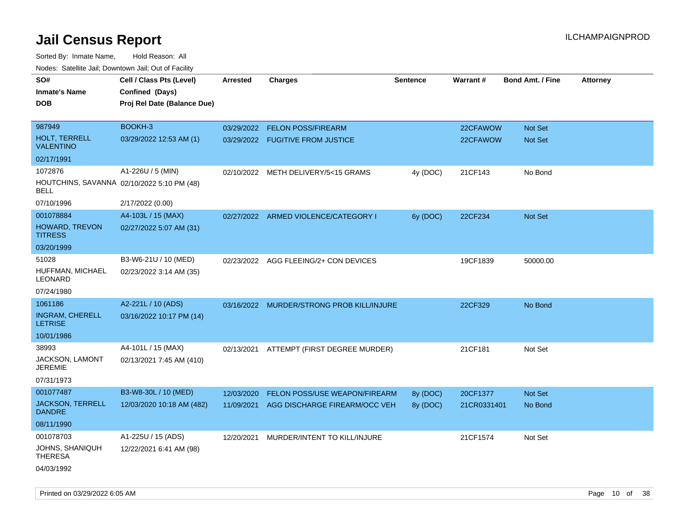| roaco. Odichile Jan, Downtown Jan, Out of Facility        |                             |                 |                                           |          |             |                         |                 |
|-----------------------------------------------------------|-----------------------------|-----------------|-------------------------------------------|----------|-------------|-------------------------|-----------------|
| SO#                                                       | Cell / Class Pts (Level)    | <b>Arrested</b> | <b>Charges</b>                            | Sentence | Warrant#    | <b>Bond Amt. / Fine</b> | <b>Attorney</b> |
| <b>Inmate's Name</b>                                      | Confined (Days)             |                 |                                           |          |             |                         |                 |
| <b>DOB</b>                                                | Proj Rel Date (Balance Due) |                 |                                           |          |             |                         |                 |
|                                                           |                             |                 |                                           |          |             |                         |                 |
| 987949                                                    | BOOKH-3                     |                 | 03/29/2022 FELON POSS/FIREARM             |          | 22CFAWOW    | Not Set                 |                 |
| <b>HOLT, TERRELL</b><br><b>VALENTINO</b>                  | 03/29/2022 12:53 AM (1)     |                 | 03/29/2022 FUGITIVE FROM JUSTICE          |          | 22CFAWOW    | Not Set                 |                 |
| 02/17/1991                                                |                             |                 |                                           |          |             |                         |                 |
| 1072876                                                   | A1-226U / 5 (MIN)           | 02/10/2022      | METH DELIVERY/5<15 GRAMS                  | 4y (DOC) | 21CF143     | No Bond                 |                 |
| HOUTCHINS, SAVANNA 02/10/2022 5:10 PM (48)<br><b>BELL</b> |                             |                 |                                           |          |             |                         |                 |
| 07/10/1996                                                | 2/17/2022 (0.00)            |                 |                                           |          |             |                         |                 |
| 001078884                                                 | A4-103L / 15 (MAX)          |                 | 02/27/2022 ARMED VIOLENCE/CATEGORY I      | 6y (DOC) | 22CF234     | <b>Not Set</b>          |                 |
| <b>HOWARD, TREVON</b><br><b>TITRESS</b>                   | 02/27/2022 5:07 AM (31)     |                 |                                           |          |             |                         |                 |
| 03/20/1999                                                |                             |                 |                                           |          |             |                         |                 |
| 51028                                                     | B3-W6-21U / 10 (MED)        |                 | 02/23/2022 AGG FLEEING/2+ CON DEVICES     |          | 19CF1839    | 50000.00                |                 |
| HUFFMAN, MICHAEL<br>LEONARD                               | 02/23/2022 3:14 AM (35)     |                 |                                           |          |             |                         |                 |
| 07/24/1980                                                |                             |                 |                                           |          |             |                         |                 |
| 1061186                                                   | A2-221L / 10 (ADS)          |                 | 03/16/2022 MURDER/STRONG PROB KILL/INJURE |          | 22CF329     | No Bond                 |                 |
| <b>INGRAM, CHERELL</b><br><b>LETRISE</b>                  | 03/16/2022 10:17 PM (14)    |                 |                                           |          |             |                         |                 |
| 10/01/1986                                                |                             |                 |                                           |          |             |                         |                 |
| 38993                                                     | A4-101L / 15 (MAX)          |                 | 02/13/2021 ATTEMPT (FIRST DEGREE MURDER)  |          | 21CF181     | Not Set                 |                 |
| <b>JACKSON, LAMONT</b><br><b>JEREMIE</b>                  | 02/13/2021 7:45 AM (410)    |                 |                                           |          |             |                         |                 |
| 07/31/1973                                                |                             |                 |                                           |          |             |                         |                 |
| 001077487                                                 | B3-W8-30L / 10 (MED)        | 12/03/2020      | FELON POSS/USE WEAPON/FIREARM             | 8y (DOC) | 20CF1377    | <b>Not Set</b>          |                 |
| <b>JACKSON, TERRELL</b><br><b>DANDRE</b>                  | 12/03/2020 10:18 AM (482)   | 11/09/2021      | AGG DISCHARGE FIREARM/OCC VEH             | 8y (DOC) | 21CR0331401 | No Bond                 |                 |
| 08/11/1990                                                |                             |                 |                                           |          |             |                         |                 |
| 001078703                                                 | A1-225U / 15 (ADS)          | 12/20/2021      | MURDER/INTENT TO KILL/INJURE              |          | 21CF1574    | Not Set                 |                 |
| JOHNS, SHANIQUH<br><b>THERESA</b>                         | 12/22/2021 6:41 AM (98)     |                 |                                           |          |             |                         |                 |
| 04/03/1992                                                |                             |                 |                                           |          |             |                         |                 |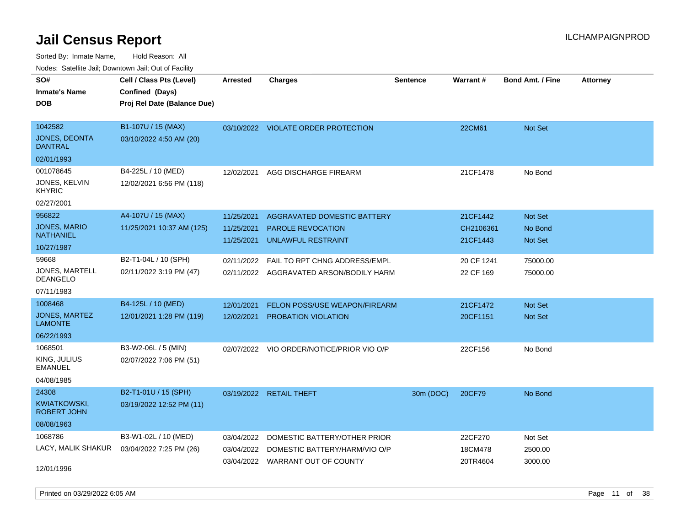Sorted By: Inmate Name, Hold Reason: All Nodes: Satellite Jail; Downtown Jail; Out of Facility

| rouco. Calcinic Jan, Downtown Jan, Out of Facility |                                                                                              |                               |                                                                                                                                      |                                                               |                           |                 |
|----------------------------------------------------|----------------------------------------------------------------------------------------------|-------------------------------|--------------------------------------------------------------------------------------------------------------------------------------|---------------------------------------------------------------|---------------------------|-----------------|
| Cell / Class Pts (Level)                           | Arrested                                                                                     | <b>Charges</b>                | <b>Sentence</b>                                                                                                                      |                                                               | <b>Bond Amt. / Fine</b>   | <b>Attorney</b> |
|                                                    |                                                                                              |                               |                                                                                                                                      |                                                               |                           |                 |
|                                                    |                                                                                              |                               |                                                                                                                                      |                                                               |                           |                 |
|                                                    |                                                                                              |                               |                                                                                                                                      |                                                               |                           |                 |
| 03/10/2022 4:50 AM (20)                            |                                                                                              |                               |                                                                                                                                      |                                                               |                           |                 |
|                                                    |                                                                                              |                               |                                                                                                                                      |                                                               |                           |                 |
| B4-225L / 10 (MED)                                 | 12/02/2021                                                                                   | AGG DISCHARGE FIREARM         |                                                                                                                                      | 21CF1478                                                      | No Bond                   |                 |
| 12/02/2021 6:56 PM (118)                           |                                                                                              |                               |                                                                                                                                      |                                                               |                           |                 |
|                                                    |                                                                                              |                               |                                                                                                                                      |                                                               |                           |                 |
| A4-107U / 15 (MAX)                                 | 11/25/2021                                                                                   | AGGRAVATED DOMESTIC BATTERY   |                                                                                                                                      | 21CF1442                                                      | <b>Not Set</b>            |                 |
| 11/25/2021 10:37 AM (125)                          | 11/25/2021                                                                                   | <b>PAROLE REVOCATION</b>      |                                                                                                                                      | CH2106361                                                     | No Bond                   |                 |
|                                                    | 11/25/2021                                                                                   | UNLAWFUL RESTRAINT            |                                                                                                                                      | 21CF1443                                                      | <b>Not Set</b>            |                 |
|                                                    |                                                                                              |                               |                                                                                                                                      |                                                               |                           |                 |
|                                                    | 02/11/2022                                                                                   | FAIL TO RPT CHNG ADDRESS/EMPL |                                                                                                                                      | 20 CF 1241                                                    | 75000.00                  |                 |
| 02/11/2022 3:19 PM (47)                            | 02/11/2022                                                                                   |                               |                                                                                                                                      | 22 CF 169                                                     | 75000.00                  |                 |
|                                                    |                                                                                              |                               |                                                                                                                                      |                                                               |                           |                 |
| B4-125L / 10 (MED)                                 | 12/01/2021                                                                                   |                               |                                                                                                                                      | 21CF1472                                                      | <b>Not Set</b>            |                 |
| 12/01/2021 1:28 PM (119)                           | 12/02/2021                                                                                   | PROBATION VIOLATION           |                                                                                                                                      | 20CF1151                                                      | Not Set                   |                 |
|                                                    |                                                                                              |                               |                                                                                                                                      |                                                               |                           |                 |
| B3-W2-06L / 5 (MIN)                                |                                                                                              |                               |                                                                                                                                      | 22CF156                                                       | No Bond                   |                 |
| 02/07/2022 7:06 PM (51)                            |                                                                                              |                               |                                                                                                                                      |                                                               |                           |                 |
|                                                    |                                                                                              |                               |                                                                                                                                      |                                                               |                           |                 |
| B2-T1-01U / 15 (SPH)                               |                                                                                              |                               | 30m (DOC)                                                                                                                            | 20CF79                                                        | No Bond                   |                 |
| 03/19/2022 12:52 PM (11)                           |                                                                                              |                               |                                                                                                                                      |                                                               |                           |                 |
|                                                    |                                                                                              |                               |                                                                                                                                      |                                                               |                           |                 |
| B3-W1-02L / 10 (MED)                               | 03/04/2022                                                                                   | DOMESTIC BATTERY/OTHER PRIOR  |                                                                                                                                      | 22CF270                                                       | Not Set                   |                 |
| LACY, MALIK SHAKUR 03/04/2022 7:25 PM (26)         | 03/04/2022                                                                                   | DOMESTIC BATTERY/HARM/VIO O/P |                                                                                                                                      | 18CM478                                                       | 2500.00                   |                 |
|                                                    | 03/04/2022                                                                                   |                               |                                                                                                                                      | 20TR4604                                                      | 3000.00                   |                 |
|                                                    |                                                                                              |                               |                                                                                                                                      |                                                               |                           |                 |
|                                                    | Confined (Days)<br>Proj Rel Date (Balance Due)<br>B1-107U / 15 (MAX)<br>B2-T1-04L / 10 (SPH) |                               | 03/10/2022 VIOLATE ORDER PROTECTION<br>02/07/2022 VIO ORDER/NOTICE/PRIOR VIO O/P<br>03/19/2022 RETAIL THEFT<br>WARRANT OUT OF COUNTY | AGGRAVATED ARSON/BODILY HARM<br>FELON POSS/USE WEAPON/FIREARM | <b>Warrant#</b><br>22CM61 | <b>Not Set</b>  |

Printed on 03/29/2022 6:05 AM **Page 11** of 38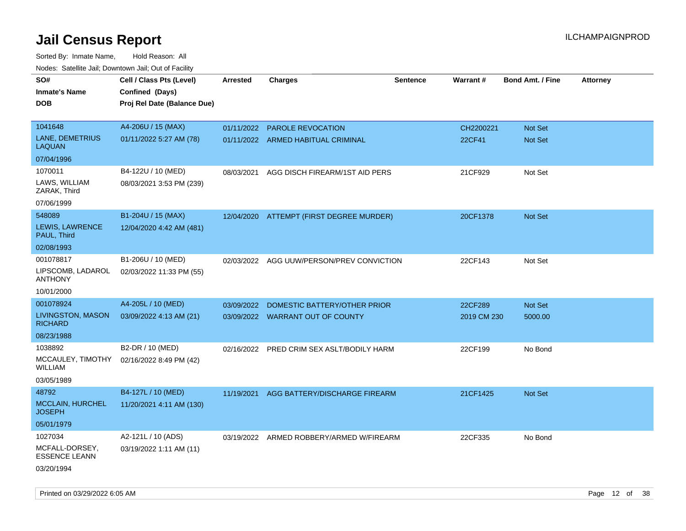| noaco. Catomto can, Domntonn can, Cat or I domt<br>SO# | Cell / Class Pts (Level)                       | Arrested   | <b>Charges</b>                            | <b>Sentence</b> | Warrant#    | <b>Bond Amt. / Fine</b> | <b>Attorney</b> |
|--------------------------------------------------------|------------------------------------------------|------------|-------------------------------------------|-----------------|-------------|-------------------------|-----------------|
| <b>Inmate's Name</b><br><b>DOB</b>                     | Confined (Days)<br>Proj Rel Date (Balance Due) |            |                                           |                 |             |                         |                 |
| 1041648                                                | A4-206U / 15 (MAX)                             | 01/11/2022 | <b>PAROLE REVOCATION</b>                  |                 | CH2200221   | Not Set                 |                 |
| LANE, DEMETRIUS<br>LAQUAN                              | 01/11/2022 5:27 AM (78)                        |            | 01/11/2022 ARMED HABITUAL CRIMINAL        |                 | 22CF41      | Not Set                 |                 |
| 07/04/1996                                             |                                                |            |                                           |                 |             |                         |                 |
| 1070011                                                | B4-122U / 10 (MED)                             | 08/03/2021 | AGG DISCH FIREARM/1ST AID PERS            |                 | 21CF929     | Not Set                 |                 |
| LAWS, WILLIAM<br>ZARAK, Third                          | 08/03/2021 3:53 PM (239)                       |            |                                           |                 |             |                         |                 |
| 07/06/1999                                             |                                                |            |                                           |                 |             |                         |                 |
| 548089                                                 | B1-204U / 15 (MAX)                             | 12/04/2020 | ATTEMPT (FIRST DEGREE MURDER)             |                 | 20CF1378    | <b>Not Set</b>          |                 |
| LEWIS, LAWRENCE<br>PAUL, Third                         | 12/04/2020 4:42 AM (481)                       |            |                                           |                 |             |                         |                 |
| 02/08/1993                                             |                                                |            |                                           |                 |             |                         |                 |
| 001078817                                              | B1-206U / 10 (MED)                             | 02/03/2022 | AGG UUW/PERSON/PREV CONVICTION            |                 | 22CF143     | Not Set                 |                 |
| LIPSCOMB, LADAROL<br><b>ANTHONY</b>                    | 02/03/2022 11:33 PM (55)                       |            |                                           |                 |             |                         |                 |
| 10/01/2000                                             |                                                |            |                                           |                 |             |                         |                 |
| 001078924                                              | A4-205L / 10 (MED)                             | 03/09/2022 | DOMESTIC BATTERY/OTHER PRIOR              |                 | 22CF289     | Not Set                 |                 |
| <b>LIVINGSTON, MASON</b><br><b>RICHARD</b>             | 03/09/2022 4:13 AM (21)                        |            | 03/09/2022 WARRANT OUT OF COUNTY          |                 | 2019 CM 230 | 5000.00                 |                 |
| 08/23/1988                                             |                                                |            |                                           |                 |             |                         |                 |
| 1038892                                                | B2-DR / 10 (MED)                               |            | 02/16/2022 PRED CRIM SEX ASLT/BODILY HARM |                 | 22CF199     | No Bond                 |                 |
| MCCAULEY, TIMOTHY<br>WILLIAM                           | 02/16/2022 8:49 PM (42)                        |            |                                           |                 |             |                         |                 |
| 03/05/1989                                             |                                                |            |                                           |                 |             |                         |                 |
| 48792                                                  | B4-127L / 10 (MED)                             | 11/19/2021 | AGG BATTERY/DISCHARGE FIREARM             |                 | 21CF1425    | <b>Not Set</b>          |                 |
| <b>MCCLAIN, HURCHEL</b><br><b>JOSEPH</b>               | 11/20/2021 4:11 AM (130)                       |            |                                           |                 |             |                         |                 |
| 05/01/1979                                             |                                                |            |                                           |                 |             |                         |                 |
| 1027034                                                | A2-121L / 10 (ADS)                             |            | 03/19/2022 ARMED ROBBERY/ARMED W/FIREARM  |                 | 22CF335     | No Bond                 |                 |
| MCFALL-DORSEY,<br><b>ESSENCE LEANN</b>                 | 03/19/2022 1:11 AM (11)                        |            |                                           |                 |             |                         |                 |
| 03/20/1994                                             |                                                |            |                                           |                 |             |                         |                 |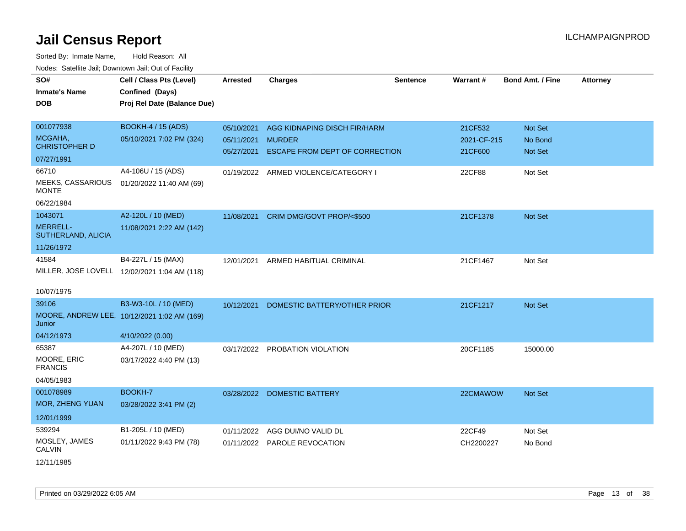| SO#<br><b>Inmate's Name</b><br><b>DOB</b> | Cell / Class Pts (Level)<br>Confined (Days)<br>Proj Rel Date (Balance Due) | <b>Arrested</b> | <b>Charges</b>                       | <b>Sentence</b> | Warrant#    | <b>Bond Amt. / Fine</b> | <b>Attorney</b> |
|-------------------------------------------|----------------------------------------------------------------------------|-----------------|--------------------------------------|-----------------|-------------|-------------------------|-----------------|
| 001077938                                 | <b>BOOKH-4 / 15 (ADS)</b>                                                  | 05/10/2021      | AGG KIDNAPING DISCH FIR/HARM         |                 | 21CF532     | Not Set                 |                 |
| MCGAHA,<br><b>CHRISTOPHER D</b>           | 05/10/2021 7:02 PM (324)                                                   | 05/11/2021      | <b>MURDER</b>                        |                 | 2021-CF-215 | No Bond                 |                 |
| 07/27/1991                                |                                                                            | 05/27/2021      | ESCAPE FROM DEPT OF CORRECTION       |                 | 21CF600     | Not Set                 |                 |
| 66710                                     | A4-106U / 15 (ADS)                                                         |                 | 01/19/2022 ARMED VIOLENCE/CATEGORY I |                 | 22CF88      | Not Set                 |                 |
| MEEKS, CASSARIOUS<br><b>MONTE</b>         | 01/20/2022 11:40 AM (69)                                                   |                 |                                      |                 |             |                         |                 |
| 06/22/1984                                |                                                                            |                 |                                      |                 |             |                         |                 |
| 1043071                                   | A2-120L / 10 (MED)                                                         | 11/08/2021      | CRIM DMG/GOVT PROP/<\$500            |                 | 21CF1378    | Not Set                 |                 |
| <b>MERRELL-</b><br>SUTHERLAND, ALICIA     | 11/08/2021 2:22 AM (142)                                                   |                 |                                      |                 |             |                         |                 |
| 11/26/1972                                |                                                                            |                 |                                      |                 |             |                         |                 |
| 41584                                     | B4-227L / 15 (MAX)                                                         | 12/01/2021      | ARMED HABITUAL CRIMINAL              |                 | 21CF1467    | Not Set                 |                 |
|                                           | MILLER, JOSE LOVELL 12/02/2021 1:04 AM (118)                               |                 |                                      |                 |             |                         |                 |
| 10/07/1975                                |                                                                            |                 |                                      |                 |             |                         |                 |
| 39106                                     | B3-W3-10L / 10 (MED)                                                       | 10/12/2021      | DOMESTIC BATTERY/OTHER PRIOR         |                 | 21CF1217    | Not Set                 |                 |
| Junior                                    | MOORE, ANDREW LEE, 10/12/2021 1:02 AM (169)                                |                 |                                      |                 |             |                         |                 |
| 04/12/1973                                | 4/10/2022 (0.00)                                                           |                 |                                      |                 |             |                         |                 |
| 65387                                     | A4-207L / 10 (MED)                                                         |                 | 03/17/2022 PROBATION VIOLATION       |                 | 20CF1185    | 15000.00                |                 |
| MOORE, ERIC<br><b>FRANCIS</b>             | 03/17/2022 4:40 PM (13)                                                    |                 |                                      |                 |             |                         |                 |
| 04/05/1983                                |                                                                            |                 |                                      |                 |             |                         |                 |
| 001078989                                 | BOOKH-7                                                                    |                 | 03/28/2022 DOMESTIC BATTERY          |                 | 22CMAWOW    | Not Set                 |                 |
| MOR, ZHENG YUAN                           | 03/28/2022 3:41 PM (2)                                                     |                 |                                      |                 |             |                         |                 |
| 12/01/1999                                |                                                                            |                 |                                      |                 |             |                         |                 |
| 539294                                    | B1-205L / 10 (MED)                                                         | 01/11/2022      | AGG DUI/NO VALID DL                  |                 | 22CF49      | Not Set                 |                 |
| MOSLEY, JAMES<br><b>CALVIN</b>            | 01/11/2022 9:43 PM (78)                                                    |                 | 01/11/2022 PAROLE REVOCATION         |                 | CH2200227   | No Bond                 |                 |
| 12/11/1985                                |                                                                            |                 |                                      |                 |             |                         |                 |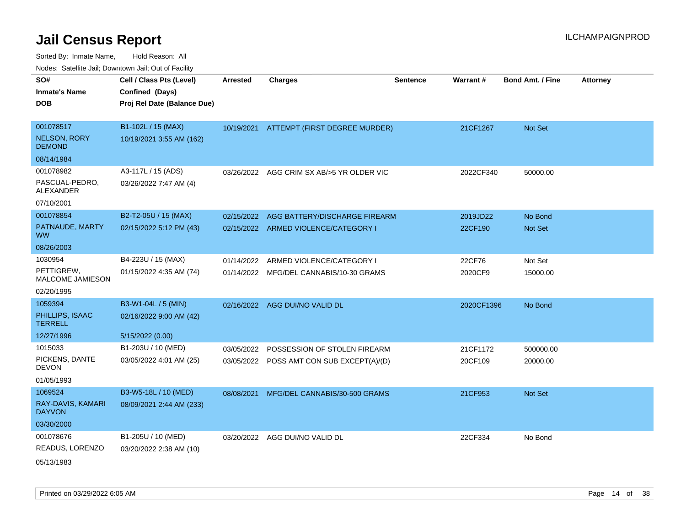| SO#                                  | Cell / Class Pts (Level)    | <b>Arrested</b> | <b>Charges</b>                            | <b>Sentence</b> | <b>Warrant#</b> | <b>Bond Amt. / Fine</b> | <b>Attorney</b> |
|--------------------------------------|-----------------------------|-----------------|-------------------------------------------|-----------------|-----------------|-------------------------|-----------------|
| <b>Inmate's Name</b>                 | Confined (Days)             |                 |                                           |                 |                 |                         |                 |
| <b>DOB</b>                           | Proj Rel Date (Balance Due) |                 |                                           |                 |                 |                         |                 |
|                                      |                             |                 |                                           |                 |                 |                         |                 |
| 001078517                            | B1-102L / 15 (MAX)          |                 | 10/19/2021 ATTEMPT (FIRST DEGREE MURDER)  |                 | 21CF1267        | Not Set                 |                 |
| <b>NELSON, RORY</b><br><b>DEMOND</b> | 10/19/2021 3:55 AM (162)    |                 |                                           |                 |                 |                         |                 |
| 08/14/1984                           |                             |                 |                                           |                 |                 |                         |                 |
| 001078982                            | A3-117L / 15 (ADS)          |                 | 03/26/2022 AGG CRIM SX AB/>5 YR OLDER VIC |                 | 2022CF340       | 50000.00                |                 |
| PASCUAL-PEDRO,<br><b>ALEXANDER</b>   | 03/26/2022 7:47 AM (4)      |                 |                                           |                 |                 |                         |                 |
| 07/10/2001                           |                             |                 |                                           |                 |                 |                         |                 |
| 001078854                            | B2-T2-05U / 15 (MAX)        | 02/15/2022      | AGG BATTERY/DISCHARGE FIREARM             |                 | 2019JD22        | No Bond                 |                 |
| PATNAUDE, MARTY<br><b>WW</b>         | 02/15/2022 5:12 PM (43)     |                 | 02/15/2022 ARMED VIOLENCE/CATEGORY I      |                 | 22CF190         | Not Set                 |                 |
| 08/26/2003                           |                             |                 |                                           |                 |                 |                         |                 |
| 1030954                              | B4-223U / 15 (MAX)          | 01/14/2022      | ARMED VIOLENCE/CATEGORY I                 |                 | 22CF76          | Not Set                 |                 |
| PETTIGREW,<br>MALCOME JAMIESON       | 01/15/2022 4:35 AM (74)     |                 | 01/14/2022 MFG/DEL CANNABIS/10-30 GRAMS   |                 | 2020CF9         | 15000.00                |                 |
| 02/20/1995                           |                             |                 |                                           |                 |                 |                         |                 |
| 1059394                              | B3-W1-04L / 5 (MIN)         |                 | 02/16/2022 AGG DUI/NO VALID DL            |                 | 2020CF1396      | No Bond                 |                 |
| PHILLIPS, ISAAC<br><b>TERRELL</b>    | 02/16/2022 9:00 AM (42)     |                 |                                           |                 |                 |                         |                 |
| 12/27/1996                           | 5/15/2022 (0.00)            |                 |                                           |                 |                 |                         |                 |
| 1015033                              | B1-203U / 10 (MED)          | 03/05/2022      | POSSESSION OF STOLEN FIREARM              |                 | 21CF1172        | 500000.00               |                 |
| PICKENS, DANTE<br><b>DEVON</b>       | 03/05/2022 4:01 AM (25)     |                 | 03/05/2022 POSS AMT CON SUB EXCEPT(A)/(D) |                 | 20CF109         | 20000.00                |                 |
| 01/05/1993                           |                             |                 |                                           |                 |                 |                         |                 |
| 1069524                              | B3-W5-18L / 10 (MED)        | 08/08/2021      | MFG/DEL CANNABIS/30-500 GRAMS             |                 | 21CF953         | <b>Not Set</b>          |                 |
| RAY-DAVIS, KAMARI<br><b>DAYVON</b>   | 08/09/2021 2:44 AM (233)    |                 |                                           |                 |                 |                         |                 |
| 03/30/2000                           |                             |                 |                                           |                 |                 |                         |                 |
| 001078676                            | B1-205U / 10 (MED)          |                 | 03/20/2022 AGG DUI/NO VALID DL            |                 | 22CF334         | No Bond                 |                 |
| READUS, LORENZO                      | 03/20/2022 2:38 AM (10)     |                 |                                           |                 |                 |                         |                 |
| 05/13/1983                           |                             |                 |                                           |                 |                 |                         |                 |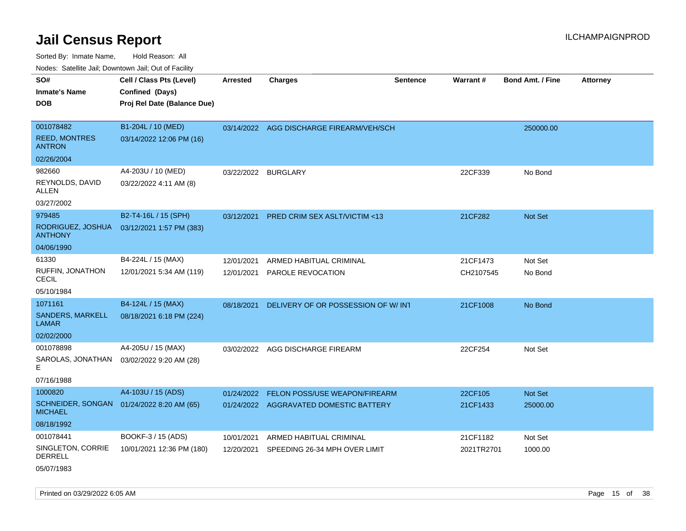Sorted By: Inmate Name, Hold Reason: All Nodes: Satellite Jail; Downtown Jail; Out of Facility

| SO#<br><b>Inmate's Name</b><br>DOB                 | Cell / Class Pts (Level)<br>Confined (Days)<br>Proj Rel Date (Balance Due) | <b>Arrested</b> | <b>Charges</b>                           | <b>Sentence</b> | Warrant#   | <b>Bond Amt. / Fine</b> | <b>Attorney</b> |
|----------------------------------------------------|----------------------------------------------------------------------------|-----------------|------------------------------------------|-----------------|------------|-------------------------|-----------------|
| 001078482<br><b>REED, MONTRES</b><br><b>ANTRON</b> | B1-204L / 10 (MED)<br>03/14/2022 12:06 PM (16)                             |                 | 03/14/2022 AGG DISCHARGE FIREARM/VEH/SCH |                 |            | 250000.00               |                 |
| 02/26/2004                                         |                                                                            |                 |                                          |                 |            |                         |                 |
| 982660<br>REYNOLDS, DAVID<br>ALLEN                 | A4-203U / 10 (MED)<br>03/22/2022 4:11 AM (8)                               | 03/22/2022      | <b>BURGLARY</b>                          |                 | 22CF339    | No Bond                 |                 |
| 03/27/2002                                         |                                                                            |                 |                                          |                 |            |                         |                 |
| 979485<br>RODRIGUEZ, JOSHUA<br><b>ANTHONY</b>      | B2-T4-16L / 15 (SPH)<br>03/12/2021 1:57 PM (383)                           | 03/12/2021      | <b>PRED CRIM SEX ASLT/VICTIM &lt;13</b>  |                 | 21CF282    | <b>Not Set</b>          |                 |
| 04/06/1990                                         |                                                                            |                 |                                          |                 |            |                         |                 |
| 61330                                              | B4-224L / 15 (MAX)                                                         | 12/01/2021      | ARMED HABITUAL CRIMINAL                  |                 | 21CF1473   | Not Set                 |                 |
| RUFFIN, JONATHON<br>CECIL                          | 12/01/2021 5:34 AM (119)                                                   | 12/01/2021      | PAROLE REVOCATION                        |                 | CH2107545  | No Bond                 |                 |
| 05/10/1984                                         |                                                                            |                 |                                          |                 |            |                         |                 |
| 1071161<br><b>SANDERS, MARKELL</b><br>LAMAR        | B4-124L / 15 (MAX)<br>08/18/2021 6:18 PM (224)                             | 08/18/2021      | DELIVERY OF OR POSSESSION OF W/ INT      |                 | 21CF1008   | No Bond                 |                 |
| 02/02/2000                                         |                                                                            |                 |                                          |                 |            |                         |                 |
| 001078898<br>SAROLAS, JONATHAN<br>E.<br>07/16/1988 | A4-205U / 15 (MAX)<br>03/02/2022 9:20 AM (28)                              |                 | 03/02/2022 AGG DISCHARGE FIREARM         |                 | 22CF254    | Not Set                 |                 |
| 1000820                                            | A4-103U / 15 (ADS)                                                         | 01/24/2022      | FELON POSS/USE WEAPON/FIREARM            |                 | 22CF105    | Not Set                 |                 |
| SCHNEIDER, SONGAN<br><b>MICHAEL</b>                | 01/24/2022 8:20 AM (65)                                                    |                 | 01/24/2022 AGGRAVATED DOMESTIC BATTERY   |                 | 21CF1433   | 25000.00                |                 |
| 08/18/1992                                         |                                                                            |                 |                                          |                 |            |                         |                 |
| 001078441                                          | BOOKF-3 / 15 (ADS)                                                         | 10/01/2021      | ARMED HABITUAL CRIMINAL                  |                 | 21CF1182   | Not Set                 |                 |
| SINGLETON, CORRIE<br><b>DERRELL</b>                | 10/01/2021 12:36 PM (180)                                                  | 12/20/2021      | SPEEDING 26-34 MPH OVER LIMIT            |                 | 2021TR2701 | 1000.00                 |                 |
|                                                    |                                                                            |                 |                                          |                 |            |                         |                 |

05/07/1983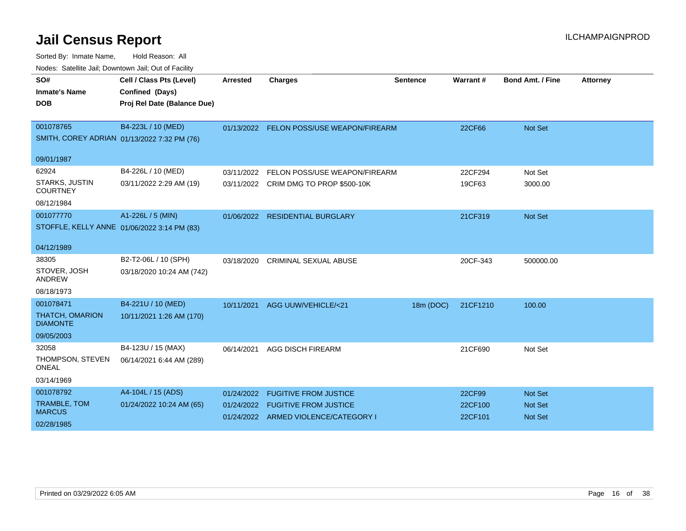| SO#<br><b>Inmate's Name</b>               | Cell / Class Pts (Level)<br>Confined (Days) | <b>Arrested</b> | <b>Charges</b>                           | <b>Sentence</b> | Warrant# | <b>Bond Amt. / Fine</b> | <b>Attorney</b> |
|-------------------------------------------|---------------------------------------------|-----------------|------------------------------------------|-----------------|----------|-------------------------|-----------------|
|                                           |                                             |                 |                                          |                 |          |                         |                 |
| <b>DOB</b>                                | Proj Rel Date (Balance Due)                 |                 |                                          |                 |          |                         |                 |
|                                           |                                             |                 |                                          |                 |          |                         |                 |
| 001078765                                 | B4-223L / 10 (MED)                          |                 | 01/13/2022 FELON POSS/USE WEAPON/FIREARM |                 | 22CF66   | Not Set                 |                 |
|                                           | SMITH, COREY ADRIAN 01/13/2022 7:32 PM (76) |                 |                                          |                 |          |                         |                 |
| 09/01/1987                                |                                             |                 |                                          |                 |          |                         |                 |
| 62924                                     | B4-226L / 10 (MED)                          | 03/11/2022      | FELON POSS/USE WEAPON/FIREARM            |                 | 22CF294  | Not Set                 |                 |
| <b>STARKS, JUSTIN</b>                     | 03/11/2022 2:29 AM (19)                     |                 | 03/11/2022 CRIM DMG TO PROP \$500-10K    |                 | 19CF63   | 3000.00                 |                 |
| <b>COURTNEY</b>                           |                                             |                 |                                          |                 |          |                         |                 |
| 08/12/1984                                |                                             |                 |                                          |                 |          |                         |                 |
| 001077770                                 | A1-226L / 5 (MIN)                           | 01/06/2022      | <b>RESIDENTIAL BURGLARY</b>              |                 | 21CF319  | <b>Not Set</b>          |                 |
|                                           | STOFFLE, KELLY ANNE 01/06/2022 3:14 PM (83) |                 |                                          |                 |          |                         |                 |
|                                           |                                             |                 |                                          |                 |          |                         |                 |
| 04/12/1989                                |                                             |                 |                                          |                 |          |                         |                 |
| 38305                                     | B2-T2-06L / 10 (SPH)                        | 03/18/2020      | <b>CRIMINAL SEXUAL ABUSE</b>             |                 | 20CF-343 | 500000.00               |                 |
| STOVER, JOSH<br><b>ANDREW</b>             | 03/18/2020 10:24 AM (742)                   |                 |                                          |                 |          |                         |                 |
| 08/18/1973                                |                                             |                 |                                          |                 |          |                         |                 |
| 001078471                                 | B4-221U / 10 (MED)                          | 10/11/2021      | AGG UUW/VEHICLE/<21                      | 18m (DOC)       | 21CF1210 | 100.00                  |                 |
| <b>THATCH, OMARION</b><br><b>DIAMONTE</b> | 10/11/2021 1:26 AM (170)                    |                 |                                          |                 |          |                         |                 |
| 09/05/2003                                |                                             |                 |                                          |                 |          |                         |                 |
| 32058                                     | B4-123U / 15 (MAX)                          | 06/14/2021      | <b>AGG DISCH FIREARM</b>                 |                 | 21CF690  | Not Set                 |                 |
| THOMPSON, STEVEN<br><b>ONEAL</b>          | 06/14/2021 6:44 AM (289)                    |                 |                                          |                 |          |                         |                 |
| 03/14/1969                                |                                             |                 |                                          |                 |          |                         |                 |
| 001078792                                 | A4-104L / 15 (ADS)                          | 01/24/2022      | <b>FUGITIVE FROM JUSTICE</b>             |                 | 22CF99   | <b>Not Set</b>          |                 |
| <b>TRAMBLE, TOM</b>                       | 01/24/2022 10:24 AM (65)                    | 01/24/2022      | <b>FUGITIVE FROM JUSTICE</b>             |                 | 22CF100  | <b>Not Set</b>          |                 |
| <b>MARCUS</b>                             |                                             |                 | 01/24/2022 ARMED VIOLENCE/CATEGORY I     |                 | 22CF101  | <b>Not Set</b>          |                 |
| 02/28/1985                                |                                             |                 |                                          |                 |          |                         |                 |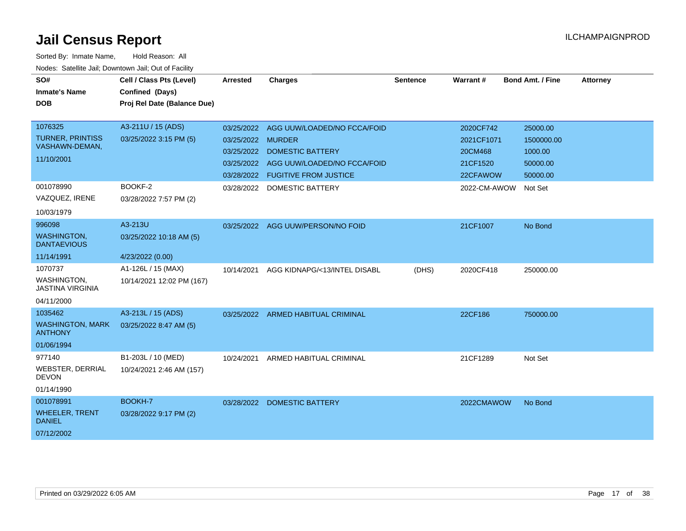| SO#<br><b>Inmate's Name</b>                   | Cell / Class Pts (Level)<br>Confined (Days) | <b>Arrested</b>   | <b>Charges</b>                         | <b>Sentence</b> | Warrant#     | <b>Bond Amt. / Fine</b> | <b>Attorney</b> |
|-----------------------------------------------|---------------------------------------------|-------------------|----------------------------------------|-----------------|--------------|-------------------------|-----------------|
| <b>DOB</b>                                    | Proj Rel Date (Balance Due)                 |                   |                                        |                 |              |                         |                 |
|                                               |                                             |                   |                                        |                 |              |                         |                 |
| 1076325                                       | A3-211U / 15 (ADS)                          |                   | 03/25/2022 AGG UUW/LOADED/NO FCCA/FOID |                 | 2020CF742    | 25000.00                |                 |
| <b>TURNER, PRINTISS</b><br>VASHAWN-DEMAN,     | 03/25/2022 3:15 PM (5)                      | 03/25/2022 MURDER |                                        |                 | 2021CF1071   | 1500000.00              |                 |
| 11/10/2001                                    |                                             | 03/25/2022        | <b>DOMESTIC BATTERY</b>                |                 | 20CM468      | 1000.00                 |                 |
|                                               |                                             |                   | 03/25/2022 AGG UUW/LOADED/NO FCCA/FOID |                 | 21CF1520     | 50000.00                |                 |
|                                               |                                             | 03/28/2022        | <b>FUGITIVE FROM JUSTICE</b>           |                 | 22CFAWOW     | 50000.00                |                 |
| 001078990                                     | BOOKF-2                                     | 03/28/2022        | DOMESTIC BATTERY                       |                 | 2022-CM-AWOW | Not Set                 |                 |
| VAZQUEZ, IRENE                                | 03/28/2022 7:57 PM (2)                      |                   |                                        |                 |              |                         |                 |
| 10/03/1979                                    |                                             |                   |                                        |                 |              |                         |                 |
| 996098                                        | A3-213U                                     |                   | 03/25/2022 AGG UUW/PERSON/NO FOID      |                 | 21CF1007     | No Bond                 |                 |
| <b>WASHINGTON,</b><br><b>DANTAEVIOUS</b>      | 03/25/2022 10:18 AM (5)                     |                   |                                        |                 |              |                         |                 |
| 11/14/1991                                    | 4/23/2022 (0.00)                            |                   |                                        |                 |              |                         |                 |
| 1070737                                       | A1-126L / 15 (MAX)                          | 10/14/2021        | AGG KIDNAPG/<13/INTEL DISABL           | (DHS)           | 2020CF418    | 250000.00               |                 |
| <b>WASHINGTON.</b><br><b>JASTINA VIRGINIA</b> | 10/14/2021 12:02 PM (167)                   |                   |                                        |                 |              |                         |                 |
| 04/11/2000                                    |                                             |                   |                                        |                 |              |                         |                 |
| 1035462                                       | A3-213L / 15 (ADS)                          |                   | 03/25/2022 ARMED HABITUAL CRIMINAL     |                 | 22CF186      | 750000.00               |                 |
| <b>WASHINGTON, MARK</b><br><b>ANTHONY</b>     | 03/25/2022 8:47 AM (5)                      |                   |                                        |                 |              |                         |                 |
| 01/06/1994                                    |                                             |                   |                                        |                 |              |                         |                 |
| 977140                                        | B1-203L / 10 (MED)                          | 10/24/2021        | ARMED HABITUAL CRIMINAL                |                 | 21CF1289     | Not Set                 |                 |
| <b>WEBSTER, DERRIAL</b><br><b>DEVON</b>       | 10/24/2021 2:46 AM (157)                    |                   |                                        |                 |              |                         |                 |
| 01/14/1990                                    |                                             |                   |                                        |                 |              |                         |                 |
| 001078991                                     | BOOKH-7                                     |                   | 03/28/2022 DOMESTIC BATTERY            |                 | 2022CMAWOW   | No Bond                 |                 |
| <b>WHEELER, TRENT</b><br><b>DANIEL</b>        | 03/28/2022 9:17 PM (2)                      |                   |                                        |                 |              |                         |                 |
| 07/12/2002                                    |                                             |                   |                                        |                 |              |                         |                 |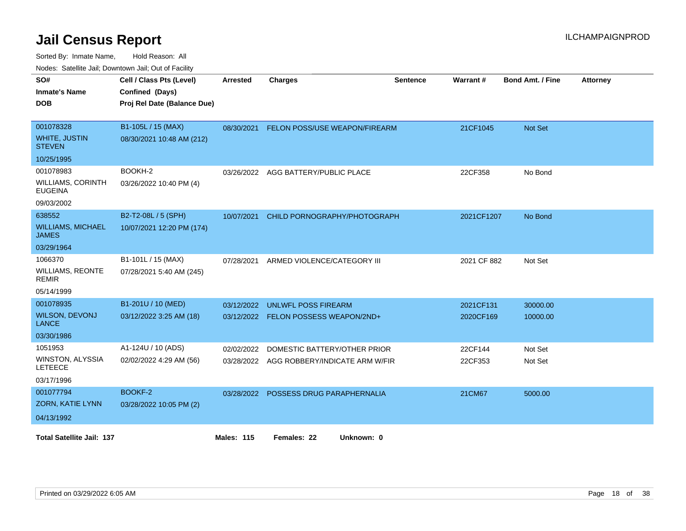Sorted By: Inmate Name, Hold Reason: All

|  |  | Nodes: Satellite Jail; Downtown Jail; Out of Facility |
|--|--|-------------------------------------------------------|
|--|--|-------------------------------------------------------|

| SO#<br><b>Inmate's Name</b><br><b>DOB</b>                             | Cell / Class Pts (Level)<br>Confined (Days)<br>Proj Rel Date (Balance Due) | <b>Arrested</b>   | <b>Charges</b>                                                            | <b>Sentence</b> | Warrant#               | <b>Bond Amt. / Fine</b> | <b>Attorney</b> |
|-----------------------------------------------------------------------|----------------------------------------------------------------------------|-------------------|---------------------------------------------------------------------------|-----------------|------------------------|-------------------------|-----------------|
| 001078328<br><b>WHITE, JUSTIN</b><br><b>STEVEN</b><br>10/25/1995      | B1-105L / 15 (MAX)<br>08/30/2021 10:48 AM (212)                            | 08/30/2021        | <b>FELON POSS/USE WEAPON/FIREARM</b>                                      |                 | 21CF1045               | Not Set                 |                 |
| 001078983<br><b>WILLIAMS, CORINTH</b><br><b>EUGEINA</b><br>09/03/2002 | BOOKH-2<br>03/26/2022 10:40 PM (4)                                         | 03/26/2022        | AGG BATTERY/PUBLIC PLACE                                                  |                 | 22CF358                | No Bond                 |                 |
| 638552<br><b>WILLIAMS, MICHAEL</b><br><b>JAMES</b><br>03/29/1964      | B2-T2-08L / 5 (SPH)<br>10/07/2021 12:20 PM (174)                           | 10/07/2021        | CHILD PORNOGRAPHY/PHOTOGRAPH                                              |                 | 2021CF1207             | No Bond                 |                 |
| 1066370<br><b>WILLIAMS, REONTE</b><br><b>REMIR</b><br>05/14/1999      | B1-101L / 15 (MAX)<br>07/28/2021 5:40 AM (245)                             | 07/28/2021        | ARMED VIOLENCE/CATEGORY III                                               |                 | 2021 CF 882            | Not Set                 |                 |
| 001078935<br><b>WILSON, DEVONJ</b><br><b>LANCE</b><br>03/30/1986      | B1-201U / 10 (MED)<br>03/12/2022 3:25 AM (18)                              | 03/12/2022        | <b>UNLWFL POSS FIREARM</b><br>03/12/2022 FELON POSSESS WEAPON/2ND+        |                 | 2021CF131<br>2020CF169 | 30000.00<br>10000.00    |                 |
| 1051953<br>WINSTON, ALYSSIA<br><b>LETEECE</b><br>03/17/1996           | A1-124U / 10 (ADS)<br>02/02/2022 4:29 AM (56)                              | 02/02/2022        | DOMESTIC BATTERY/OTHER PRIOR<br>03/28/2022 AGG ROBBERY/INDICATE ARM W/FIR |                 | 22CF144<br>22CF353     | Not Set<br>Not Set      |                 |
| 001077794<br>ZORN, KATIE LYNN<br>04/13/1992                           | BOOKF-2<br>03/28/2022 10:05 PM (2)                                         |                   | 03/28/2022 POSSESS DRUG PARAPHERNALIA                                     |                 | 21CM67                 | 5000.00                 |                 |
| <b>Total Satellite Jail: 137</b>                                      |                                                                            | <b>Males: 115</b> | Females: 22<br>Unknown: 0                                                 |                 |                        |                         |                 |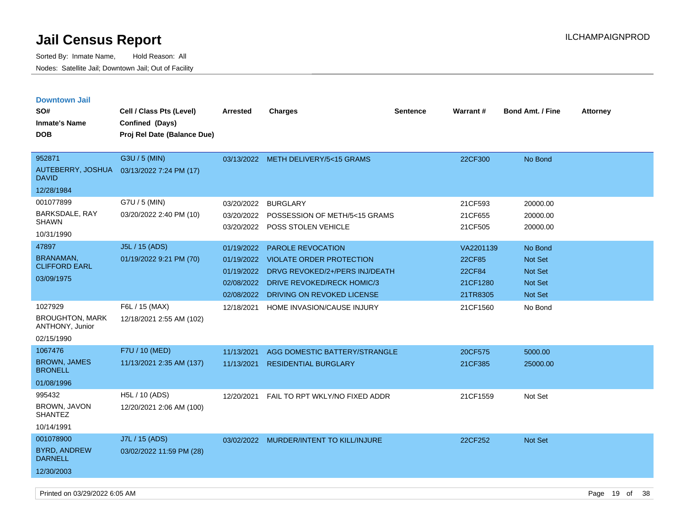| <b>Downtown Jail</b><br>SO#               | Cell / Class Pts (Level)    | <b>Arrested</b>          | <b>Charges</b>                                              | Sentence | <b>Warrant#</b>     | <b>Bond Amt. / Fine</b> | <b>Attorney</b> |
|-------------------------------------------|-----------------------------|--------------------------|-------------------------------------------------------------|----------|---------------------|-------------------------|-----------------|
| <b>Inmate's Name</b>                      | Confined (Days)             |                          |                                                             |          |                     |                         |                 |
| <b>DOB</b>                                | Proj Rel Date (Balance Due) |                          |                                                             |          |                     |                         |                 |
|                                           |                             |                          |                                                             |          |                     |                         |                 |
| 952871                                    | G3U / 5 (MIN)               |                          | 03/13/2022 METH DELIVERY/5<15 GRAMS                         |          | 22CF300             | No Bond                 |                 |
| AUTEBERRY, JOSHUA<br><b>DAVID</b>         | 03/13/2022 7:24 PM (17)     |                          |                                                             |          |                     |                         |                 |
| 12/28/1984                                |                             |                          |                                                             |          |                     |                         |                 |
| 001077899                                 | G7U / 5 (MIN)               | 03/20/2022               | <b>BURGLARY</b>                                             |          | 21CF593             | 20000.00                |                 |
| BARKSDALE, RAY<br><b>SHAWN</b>            | 03/20/2022 2:40 PM (10)     | 03/20/2022               | POSSESSION OF METH/5<15 GRAMS                               |          | 21CF655             | 20000.00                |                 |
| 10/31/1990                                |                             |                          | 03/20/2022 POSS STOLEN VEHICLE                              |          | 21CF505             | 20000.00                |                 |
| 47897                                     | J5L / 15 (ADS)              |                          |                                                             |          |                     |                         |                 |
| <b>BRANAMAN,</b>                          | 01/19/2022 9:21 PM (70)     | 01/19/2022<br>01/19/2022 | <b>PAROLE REVOCATION</b><br><b>VIOLATE ORDER PROTECTION</b> |          | VA2201139<br>22CF85 | No Bond<br>Not Set      |                 |
| <b>CLIFFORD EARL</b>                      |                             | 01/19/2022               | DRVG REVOKED/2+/PERS INJ/DEATH                              |          | 22CF84              | <b>Not Set</b>          |                 |
| 03/09/1975                                |                             | 02/08/2022               | <b>DRIVE REVOKED/RECK HOMIC/3</b>                           |          | 21CF1280            | <b>Not Set</b>          |                 |
|                                           |                             | 02/08/2022               | DRIVING ON REVOKED LICENSE                                  |          | 21TR8305            | Not Set                 |                 |
| 1027929                                   | F6L / 15 (MAX)              | 12/18/2021               | HOME INVASION/CAUSE INJURY                                  |          | 21CF1560            | No Bond                 |                 |
| <b>BROUGHTON, MARK</b><br>ANTHONY, Junior | 12/18/2021 2:55 AM (102)    |                          |                                                             |          |                     |                         |                 |
| 02/15/1990                                |                             |                          |                                                             |          |                     |                         |                 |
| 1067476                                   | F7U / 10 (MED)              | 11/13/2021               | AGG DOMESTIC BATTERY/STRANGLE                               |          | 20CF575             | 5000.00                 |                 |
| <b>BROWN, JAMES</b><br><b>BRONELL</b>     | 11/13/2021 2:35 AM (137)    | 11/13/2021               | <b>RESIDENTIAL BURGLARY</b>                                 |          | 21CF385             | 25000.00                |                 |
| 01/08/1996                                |                             |                          |                                                             |          |                     |                         |                 |
| 995432                                    | H5L / 10 (ADS)              | 12/20/2021               | FAIL TO RPT WKLY/NO FIXED ADDR                              |          | 21CF1559            | Not Set                 |                 |
| BROWN, JAVON<br><b>SHANTEZ</b>            | 12/20/2021 2:06 AM (100)    |                          |                                                             |          |                     |                         |                 |
| 10/14/1991                                |                             |                          |                                                             |          |                     |                         |                 |
| 001078900                                 | J7L / 15 (ADS)              | 03/02/2022               | MURDER/INTENT TO KILL/INJURE                                |          | 22CF252             | Not Set                 |                 |
| <b>BYRD, ANDREW</b><br><b>DARNELL</b>     | 03/02/2022 11:59 PM (28)    |                          |                                                             |          |                     |                         |                 |
| 12/30/2003                                |                             |                          |                                                             |          |                     |                         |                 |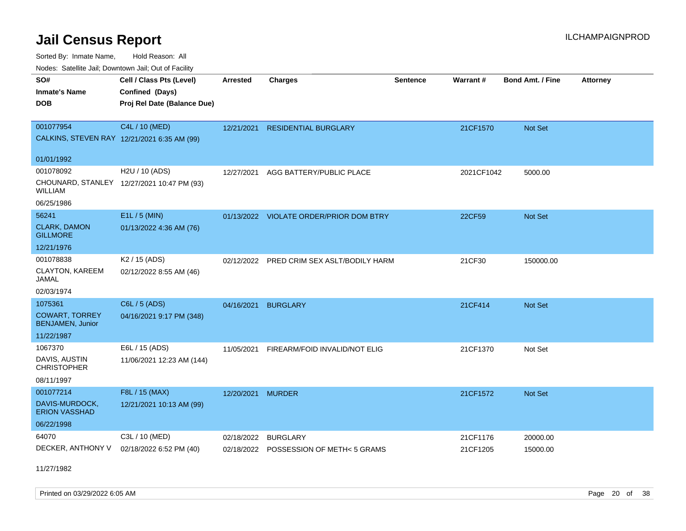Sorted By: Inmate Name, Hold Reason: All Nodes: Satellite Jail; Downtown Jail; Out of Facility

| Noues. Satellite Jali, Downtown Jali, Out of Facility |                                            |                 |                                     |                 |                 |                         |                 |
|-------------------------------------------------------|--------------------------------------------|-----------------|-------------------------------------|-----------------|-----------------|-------------------------|-----------------|
| SO#                                                   | Cell / Class Pts (Level)                   | <b>Arrested</b> | <b>Charges</b>                      | <b>Sentence</b> | <b>Warrant#</b> | <b>Bond Amt. / Fine</b> | <b>Attorney</b> |
| <b>Inmate's Name</b>                                  | Confined (Days)                            |                 |                                     |                 |                 |                         |                 |
| <b>DOB</b>                                            | Proj Rel Date (Balance Due)                |                 |                                     |                 |                 |                         |                 |
|                                                       |                                            |                 |                                     |                 |                 |                         |                 |
| 001077954                                             | C4L / 10 (MED)                             | 12/21/2021      | <b>RESIDENTIAL BURGLARY</b>         |                 | 21CF1570        | <b>Not Set</b>          |                 |
| CALKINS, STEVEN RAY 12/21/2021 6:35 AM (99)           |                                            |                 |                                     |                 |                 |                         |                 |
| 01/01/1992                                            |                                            |                 |                                     |                 |                 |                         |                 |
| 001078092                                             | H2U / 10 (ADS)                             | 12/27/2021      | AGG BATTERY/PUBLIC PLACE            |                 | 2021CF1042      | 5000.00                 |                 |
| <b>WILLIAM</b>                                        | CHOUNARD, STANLEY 12/27/2021 10:47 PM (93) |                 |                                     |                 |                 |                         |                 |
| 06/25/1986                                            |                                            |                 |                                     |                 |                 |                         |                 |
| 56241                                                 | E1L / 5 (MIN)                              | 01/13/2022      | <b>VIOLATE ORDER/PRIOR DOM BTRY</b> |                 | 22CF59          | Not Set                 |                 |
| <b>CLARK, DAMON</b><br><b>GILLMORE</b>                | 01/13/2022 4:36 AM (76)                    |                 |                                     |                 |                 |                         |                 |
| 12/21/1976                                            |                                            |                 |                                     |                 |                 |                         |                 |
| 001078838                                             | K2 / 15 (ADS)                              | 02/12/2022      | PRED CRIM SEX ASLT/BODILY HARM      |                 | 21CF30          | 150000.00               |                 |
| CLAYTON, KAREEM<br>JAMAL                              | 02/12/2022 8:55 AM (46)                    |                 |                                     |                 |                 |                         |                 |
| 02/03/1974                                            |                                            |                 |                                     |                 |                 |                         |                 |
| 1075361                                               | C6L / 5 (ADS)                              | 04/16/2021      | <b>BURGLARY</b>                     |                 | 21CF414         | <b>Not Set</b>          |                 |
| <b>COWART, TORREY</b><br>BENJAMEN, Junior             | 04/16/2021 9:17 PM (348)                   |                 |                                     |                 |                 |                         |                 |
| 11/22/1987                                            |                                            |                 |                                     |                 |                 |                         |                 |
| 1067370                                               | E6L / 15 (ADS)                             | 11/05/2021      | FIREARM/FOID INVALID/NOT ELIG       |                 | 21CF1370        | Not Set                 |                 |
| DAVIS, AUSTIN<br><b>CHRISTOPHER</b>                   | 11/06/2021 12:23 AM (144)                  |                 |                                     |                 |                 |                         |                 |
| 08/11/1997                                            |                                            |                 |                                     |                 |                 |                         |                 |
| 001077214                                             | F8L / 15 (MAX)                             | 12/20/2021      | <b>MURDER</b>                       |                 | 21CF1572        | Not Set                 |                 |
| DAVIS-MURDOCK,<br><b>ERION VASSHAD</b>                | 12/21/2021 10:13 AM (99)                   |                 |                                     |                 |                 |                         |                 |
| 06/22/1998                                            |                                            |                 |                                     |                 |                 |                         |                 |
| 64070                                                 | C3L / 10 (MED)                             | 02/18/2022      | <b>BURGLARY</b>                     |                 | 21CF1176        | 20000.00                |                 |
| DECKER, ANTHONY V                                     | 02/18/2022 6:52 PM (40)                    | 02/18/2022      | POSSESSION OF METH< 5 GRAMS         |                 | 21CF1205        | 15000.00                |                 |

11/27/1982

Printed on 03/29/2022 6:05 AM **Page 20** of 38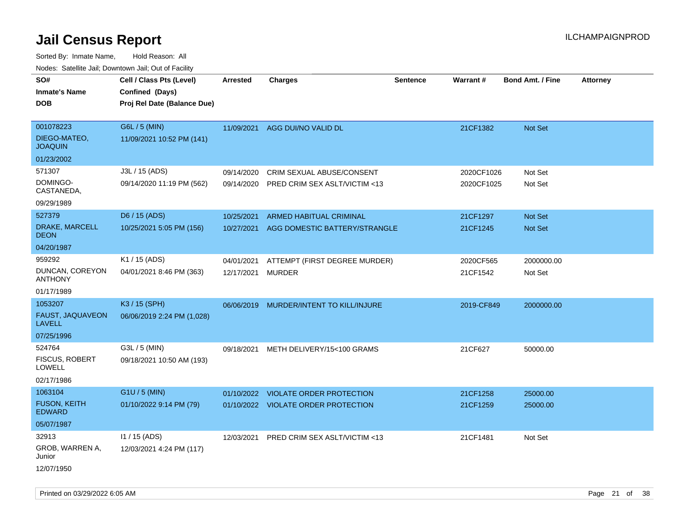| roaco. Catolino dall, Downtown dall, Out of Fability |                             |                 |                                     |                 |            |                         |                 |
|------------------------------------------------------|-----------------------------|-----------------|-------------------------------------|-----------------|------------|-------------------------|-----------------|
| SO#                                                  | Cell / Class Pts (Level)    | <b>Arrested</b> | <b>Charges</b>                      | <b>Sentence</b> | Warrant#   | <b>Bond Amt. / Fine</b> | <b>Attorney</b> |
| <b>Inmate's Name</b>                                 | Confined (Days)             |                 |                                     |                 |            |                         |                 |
| <b>DOB</b>                                           | Proj Rel Date (Balance Due) |                 |                                     |                 |            |                         |                 |
|                                                      |                             |                 |                                     |                 |            |                         |                 |
| 001078223                                            | G6L / 5 (MIN)               |                 | 11/09/2021 AGG DUI/NO VALID DL      |                 | 21CF1382   | <b>Not Set</b>          |                 |
| DIEGO-MATEO,<br><b>JOAQUIN</b>                       | 11/09/2021 10:52 PM (141)   |                 |                                     |                 |            |                         |                 |
| 01/23/2002                                           |                             |                 |                                     |                 |            |                         |                 |
| 571307                                               | J3L / 15 (ADS)              | 09/14/2020      | CRIM SEXUAL ABUSE/CONSENT           |                 | 2020CF1026 | Not Set                 |                 |
| DOMINGO-<br>CASTANEDA,                               | 09/14/2020 11:19 PM (562)   | 09/14/2020      | PRED CRIM SEX ASLT/VICTIM <13       |                 | 2020CF1025 | Not Set                 |                 |
| 09/29/1989                                           |                             |                 |                                     |                 |            |                         |                 |
| 527379                                               | D6 / 15 (ADS)               | 10/25/2021      | <b>ARMED HABITUAL CRIMINAL</b>      |                 | 21CF1297   | <b>Not Set</b>          |                 |
| DRAKE, MARCELL<br><b>DEON</b>                        | 10/25/2021 5:05 PM (156)    | 10/27/2021      | AGG DOMESTIC BATTERY/STRANGLE       |                 | 21CF1245   | Not Set                 |                 |
| 04/20/1987                                           |                             |                 |                                     |                 |            |                         |                 |
| 959292                                               | K1 / 15 (ADS)               | 04/01/2021      | ATTEMPT (FIRST DEGREE MURDER)       |                 | 2020CF565  | 2000000.00              |                 |
| DUNCAN, COREYON<br><b>ANTHONY</b>                    | 04/01/2021 8:46 PM (363)    | 12/17/2021      | <b>MURDER</b>                       |                 | 21CF1542   | Not Set                 |                 |
| 01/17/1989                                           |                             |                 |                                     |                 |            |                         |                 |
| 1053207                                              | K3 / 15 (SPH)               | 06/06/2019      | MURDER/INTENT TO KILL/INJURE        |                 | 2019-CF849 | 2000000.00              |                 |
| FAUST, JAQUAVEON<br><b>LAVELL</b>                    | 06/06/2019 2:24 PM (1,028)  |                 |                                     |                 |            |                         |                 |
| 07/25/1996                                           |                             |                 |                                     |                 |            |                         |                 |
| 524764                                               | G3L / 5 (MIN)               | 09/18/2021      | METH DELIVERY/15<100 GRAMS          |                 | 21CF627    | 50000.00                |                 |
| <b>FISCUS, ROBERT</b><br>LOWELL                      | 09/18/2021 10:50 AM (193)   |                 |                                     |                 |            |                         |                 |
| 02/17/1986                                           |                             |                 |                                     |                 |            |                         |                 |
| 1063104                                              | G1U / 5 (MIN)               | 01/10/2022      | <b>VIOLATE ORDER PROTECTION</b>     |                 | 21CF1258   | 25000.00                |                 |
| <b>FUSON, KEITH</b><br><b>EDWARD</b>                 | 01/10/2022 9:14 PM (79)     |                 | 01/10/2022 VIOLATE ORDER PROTECTION |                 | 21CF1259   | 25000.00                |                 |
| 05/07/1987                                           |                             |                 |                                     |                 |            |                         |                 |
| 32913                                                | $11 / 15$ (ADS)             | 12/03/2021      | PRED CRIM SEX ASLT/VICTIM <13       |                 | 21CF1481   | Not Set                 |                 |
| GROB, WARREN A,<br>Junior                            | 12/03/2021 4:24 PM (117)    |                 |                                     |                 |            |                         |                 |
| 12/07/1950                                           |                             |                 |                                     |                 |            |                         |                 |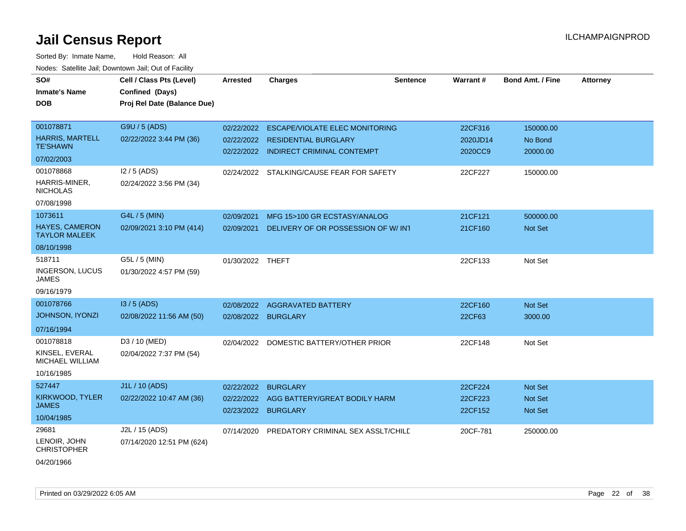| SO#                                           | Cell / Class Pts (Level)    | <b>Arrested</b>  | <b>Charges</b>                        | <b>Sentence</b> | Warrant# | <b>Bond Amt. / Fine</b> | <b>Attorney</b> |
|-----------------------------------------------|-----------------------------|------------------|---------------------------------------|-----------------|----------|-------------------------|-----------------|
| <b>Inmate's Name</b>                          | Confined (Days)             |                  |                                       |                 |          |                         |                 |
| <b>DOB</b>                                    | Proj Rel Date (Balance Due) |                  |                                       |                 |          |                         |                 |
|                                               |                             |                  |                                       |                 |          |                         |                 |
| 001078871                                     | G9U / 5 (ADS)               | 02/22/2022       | <b>ESCAPE/VIOLATE ELEC MONITORING</b> |                 | 22CF316  | 150000.00               |                 |
| <b>HARRIS, MARTELL</b>                        | 02/22/2022 3:44 PM (36)     | 02/22/2022       | <b>RESIDENTIAL BURGLARY</b>           |                 | 2020JD14 | No Bond                 |                 |
| <b>TE'SHAWN</b>                               |                             |                  | 02/22/2022 INDIRECT CRIMINAL CONTEMPT |                 | 2020CC9  | 20000.00                |                 |
| 07/02/2003                                    |                             |                  |                                       |                 |          |                         |                 |
| 001078868                                     | $12/5$ (ADS)                | 02/24/2022       | STALKING/CAUSE FEAR FOR SAFETY        |                 | 22CF227  | 150000.00               |                 |
| HARRIS-MINER,<br><b>NICHOLAS</b>              | 02/24/2022 3:56 PM (34)     |                  |                                       |                 |          |                         |                 |
| 07/08/1998                                    |                             |                  |                                       |                 |          |                         |                 |
| 1073611                                       | G4L / 5 (MIN)               | 02/09/2021       | MFG 15>100 GR ECSTASY/ANALOG          |                 | 21CF121  | 500000.00               |                 |
| <b>HAYES, CAMERON</b><br><b>TAYLOR MALEEK</b> | 02/09/2021 3:10 PM (414)    | 02/09/2021       | DELIVERY OF OR POSSESSION OF W/INT    |                 | 21CF160  | <b>Not Set</b>          |                 |
| 08/10/1998                                    |                             |                  |                                       |                 |          |                         |                 |
| 518711                                        | G5L / 5 (MIN)               | 01/30/2022 THEFT |                                       |                 | 22CF133  | Not Set                 |                 |
| INGERSON, LUCUS<br>JAMES                      | 01/30/2022 4:57 PM (59)     |                  |                                       |                 |          |                         |                 |
| 09/16/1979                                    |                             |                  |                                       |                 |          |                         |                 |
| 001078766                                     | $13/5$ (ADS)                | 02/08/2022       | <b>AGGRAVATED BATTERY</b>             |                 | 22CF160  | <b>Not Set</b>          |                 |
| JOHNSON, IYONZI                               | 02/08/2022 11:56 AM (50)    | 02/08/2022       | <b>BURGLARY</b>                       |                 | 22CF63   | 3000.00                 |                 |
| 07/16/1994                                    |                             |                  |                                       |                 |          |                         |                 |
| 001078818                                     | D3 / 10 (MED)               | 02/04/2022       | DOMESTIC BATTERY/OTHER PRIOR          |                 | 22CF148  | Not Set                 |                 |
| KINSEL, EVERAL<br>MICHAEL WILLIAM             | 02/04/2022 7:37 PM (54)     |                  |                                       |                 |          |                         |                 |
| 10/16/1985                                    |                             |                  |                                       |                 |          |                         |                 |
| 527447                                        | J1L / 10 (ADS)              | 02/22/2022       | <b>BURGLARY</b>                       |                 | 22CF224  | <b>Not Set</b>          |                 |
| KIRKWOOD, TYLER                               | 02/22/2022 10:47 AM (36)    | 02/22/2022       | AGG BATTERY/GREAT BODILY HARM         |                 | 22CF223  | Not Set                 |                 |
| <b>JAMES</b>                                  |                             | 02/23/2022       | <b>BURGLARY</b>                       |                 | 22CF152  | <b>Not Set</b>          |                 |
| 10/04/1985                                    |                             |                  |                                       |                 |          |                         |                 |
| 29681                                         | J2L / 15 (ADS)              | 07/14/2020       | PREDATORY CRIMINAL SEX ASSLT/CHILD    |                 | 20CF-781 | 250000.00               |                 |
| LENOIR, JOHN<br><b>CHRISTOPHER</b>            | 07/14/2020 12:51 PM (624)   |                  |                                       |                 |          |                         |                 |
| 04/20/1966                                    |                             |                  |                                       |                 |          |                         |                 |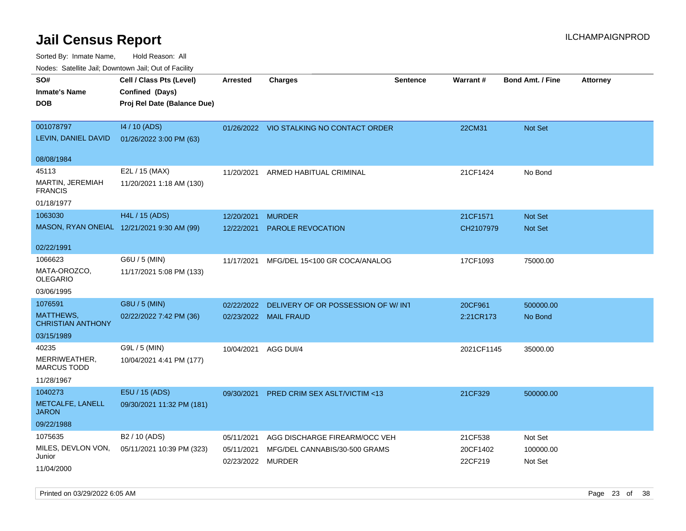| ivouss. Satellite Jali, Downtown Jali, Out of Facility |                                             |                   |                                          |                 |                 |                         |                 |
|--------------------------------------------------------|---------------------------------------------|-------------------|------------------------------------------|-----------------|-----------------|-------------------------|-----------------|
| SO#<br>Inmate's Name                                   | Cell / Class Pts (Level)<br>Confined (Days) | Arrested          | <b>Charges</b>                           | <b>Sentence</b> | <b>Warrant#</b> | <b>Bond Amt. / Fine</b> | <b>Attorney</b> |
| <b>DOB</b>                                             | Proj Rel Date (Balance Due)                 |                   |                                          |                 |                 |                         |                 |
| 001078797                                              | 14 / 10 (ADS)                               |                   | 01/26/2022 VIO STALKING NO CONTACT ORDER |                 | 22CM31          | Not Set                 |                 |
| LEVIN, DANIEL DAVID                                    | 01/26/2022 3:00 PM (63)                     |                   |                                          |                 |                 |                         |                 |
| 08/08/1984                                             |                                             |                   |                                          |                 |                 |                         |                 |
| 45113                                                  | E2L / 15 (MAX)                              | 11/20/2021        | ARMED HABITUAL CRIMINAL                  |                 | 21CF1424        | No Bond                 |                 |
| MARTIN, JEREMIAH<br><b>FRANCIS</b>                     | 11/20/2021 1:18 AM (130)                    |                   |                                          |                 |                 |                         |                 |
| 01/18/1977                                             |                                             |                   |                                          |                 |                 |                         |                 |
| 1063030                                                | H4L / 15 (ADS)                              | 12/20/2021        | <b>MURDER</b>                            |                 | 21CF1571        | <b>Not Set</b>          |                 |
|                                                        | MASON, RYAN ONEIAL 12/21/2021 9:30 AM (99)  | 12/22/2021        | PAROLE REVOCATION                        |                 | CH2107979       | Not Set                 |                 |
| 02/22/1991                                             |                                             |                   |                                          |                 |                 |                         |                 |
| 1066623                                                | G6U / 5 (MIN)                               | 11/17/2021        | MFG/DEL 15<100 GR COCA/ANALOG            |                 | 17CF1093        | 75000.00                |                 |
| MATA-OROZCO.<br>OLEGARIO                               | 11/17/2021 5:08 PM (133)                    |                   |                                          |                 |                 |                         |                 |
| 03/06/1995                                             |                                             |                   |                                          |                 |                 |                         |                 |
| 1076591                                                | G8U / 5 (MIN)                               | 02/22/2022        | DELIVERY OF OR POSSESSION OF W/INT       |                 | 20CF961         | 500000.00               |                 |
| MATTHEWS,<br><b>CHRISTIAN ANTHONY</b>                  | 02/22/2022 7:42 PM (36)                     |                   | 02/23/2022 MAIL FRAUD                    |                 | 2:21CR173       | No Bond                 |                 |
| 03/15/1989                                             |                                             |                   |                                          |                 |                 |                         |                 |
| 40235                                                  | G9L / 5 (MIN)                               | 10/04/2021        | AGG DUI/4                                |                 | 2021CF1145      | 35000.00                |                 |
| MERRIWEATHER,<br>MARCUS TODD                           | 10/04/2021 4:41 PM (177)                    |                   |                                          |                 |                 |                         |                 |
| 11/28/1967                                             |                                             |                   |                                          |                 |                 |                         |                 |
| 1040273                                                | E5U / 15 (ADS)                              | 09/30/2021        | <b>PRED CRIM SEX ASLT/VICTIM &lt;13</b>  |                 | 21CF329         | 500000.00               |                 |
| METCALFE, LANELL<br>JARON                              | 09/30/2021 11:32 PM (181)                   |                   |                                          |                 |                 |                         |                 |
| 09/22/1988                                             |                                             |                   |                                          |                 |                 |                         |                 |
| 1075635                                                | B <sub>2</sub> / 10 (ADS)                   | 05/11/2021        | AGG DISCHARGE FIREARM/OCC VEH            |                 | 21CF538         | Not Set                 |                 |
| MILES, DEVLON VON,<br>Junior                           | 05/11/2021 10:39 PM (323)                   | 05/11/2021        | MFG/DEL CANNABIS/30-500 GRAMS            |                 | 20CF1402        | 100000.00               |                 |
| 11/04/2000                                             |                                             | 02/23/2022 MURDER |                                          |                 | 22CF219         | Not Set                 |                 |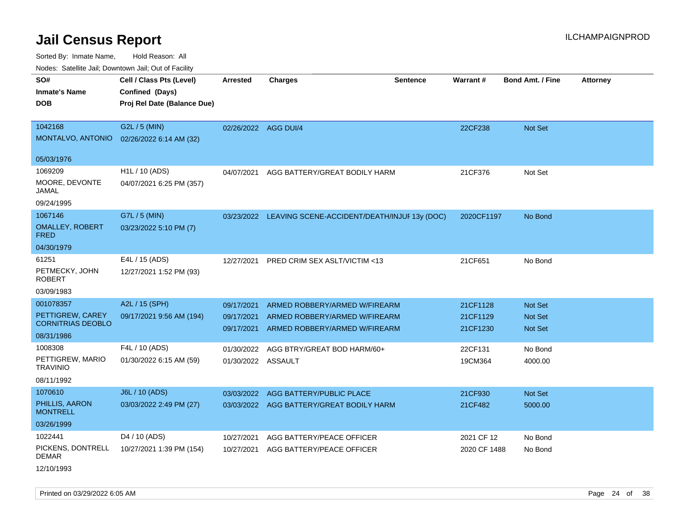Sorted By: Inmate Name, Hold Reason: All Nodes: Satellite Jail; Downtown Jail; Out of Facility

| Noues. Sateme Jan, Downtown Jan, Out or Facility |                             |                      |                                                         |          |              |                         |                 |
|--------------------------------------------------|-----------------------------|----------------------|---------------------------------------------------------|----------|--------------|-------------------------|-----------------|
| SO#                                              | Cell / Class Pts (Level)    | <b>Arrested</b>      | <b>Charges</b>                                          | Sentence | Warrant#     | <b>Bond Amt. / Fine</b> | <b>Attorney</b> |
| <b>Inmate's Name</b>                             | Confined (Days)             |                      |                                                         |          |              |                         |                 |
| DOB                                              | Proj Rel Date (Balance Due) |                      |                                                         |          |              |                         |                 |
|                                                  |                             |                      |                                                         |          |              |                         |                 |
| 1042168                                          | G2L / 5 (MIN)               | 02/26/2022 AGG DUI/4 |                                                         |          | 22CF238      | Not Set                 |                 |
| MONTALVO, ANTONIO                                | 02/26/2022 6:14 AM (32)     |                      |                                                         |          |              |                         |                 |
| 05/03/1976                                       |                             |                      |                                                         |          |              |                         |                 |
| 1069209                                          | H1L / 10 (ADS)              | 04/07/2021           | AGG BATTERY/GREAT BODILY HARM                           |          | 21CF376      | Not Set                 |                 |
| MOORE, DEVONTE                                   |                             |                      |                                                         |          |              |                         |                 |
| JAMAL                                            | 04/07/2021 6:25 PM (357)    |                      |                                                         |          |              |                         |                 |
| 09/24/1995                                       |                             |                      |                                                         |          |              |                         |                 |
| 1067146                                          | G7L / 5 (MIN)               |                      | 03/23/2022 LEAVING SCENE-ACCIDENT/DEATH/INJUF 13y (DOC) |          | 2020CF1197   | No Bond                 |                 |
| <b>OMALLEY, ROBERT</b><br><b>FRED</b>            | 03/23/2022 5:10 PM (7)      |                      |                                                         |          |              |                         |                 |
| 04/30/1979                                       |                             |                      |                                                         |          |              |                         |                 |
| 61251                                            | E4L / 15 (ADS)              | 12/27/2021           | PRED CRIM SEX ASLT/VICTIM <13                           |          | 21CF651      | No Bond                 |                 |
| PETMECKY, JOHN<br><b>ROBERT</b>                  | 12/27/2021 1:52 PM (93)     |                      |                                                         |          |              |                         |                 |
| 03/09/1983                                       |                             |                      |                                                         |          |              |                         |                 |
| 001078357                                        | A2L / 15 (SPH)              | 09/17/2021           | ARMED ROBBERY/ARMED W/FIREARM                           |          | 21CF1128     | <b>Not Set</b>          |                 |
| PETTIGREW, CAREY                                 | 09/17/2021 9:56 AM (194)    | 09/17/2021           | ARMED ROBBERY/ARMED W/FIREARM                           |          | 21CF1129     | Not Set                 |                 |
| <b>CORNITRIAS DEOBLO</b>                         |                             | 09/17/2021           | ARMED ROBBERY/ARMED W/FIREARM                           |          | 21CF1230     | <b>Not Set</b>          |                 |
| 08/31/1986                                       |                             |                      |                                                         |          |              |                         |                 |
| 1008308                                          | F4L / 10 (ADS)              | 01/30/2022           | AGG BTRY/GREAT BOD HARM/60+                             |          | 22CF131      | No Bond                 |                 |
| PETTIGREW, MARIO<br><b>TRAVINIO</b>              | 01/30/2022 6:15 AM (59)     | 01/30/2022 ASSAULT   |                                                         |          | 19CM364      | 4000.00                 |                 |
| 08/11/1992                                       |                             |                      |                                                         |          |              |                         |                 |
| 1070610                                          | J6L / 10 (ADS)              | 03/03/2022           | AGG BATTERY/PUBLIC PLACE                                |          | 21CF930      | Not Set                 |                 |
| PHILLIS, AARON<br><b>MONTRELL</b>                | 03/03/2022 2:49 PM (27)     | 03/03/2022           | AGG BATTERY/GREAT BODILY HARM                           |          | 21CF482      | 5000.00                 |                 |
| 03/26/1999                                       |                             |                      |                                                         |          |              |                         |                 |
| 1022441                                          | D <sub>4</sub> / 10 (ADS)   | 10/27/2021           | AGG BATTERY/PEACE OFFICER                               |          | 2021 CF 12   | No Bond                 |                 |
| PICKENS, DONTRELL<br><b>DEMAR</b>                | 10/27/2021 1:39 PM (154)    | 10/27/2021           | AGG BATTERY/PEACE OFFICER                               |          | 2020 CF 1488 | No Bond                 |                 |

12/10/1993

Printed on 03/29/2022 6:05 AM **Page 24 of 38**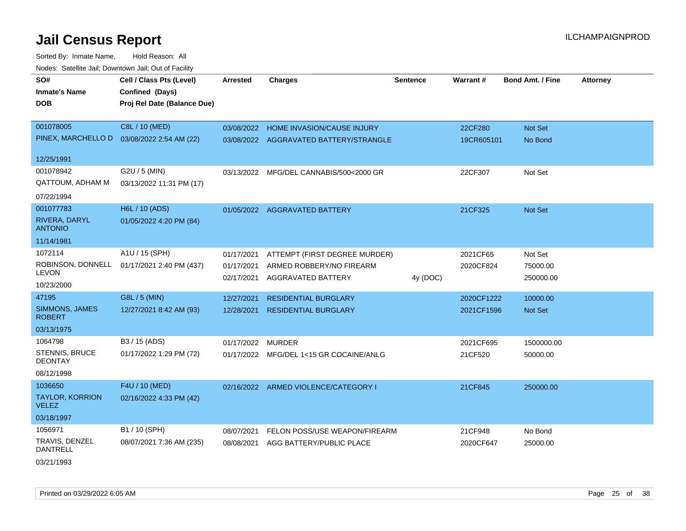Sorted By: Inmate Name, Hold Reason: All Nodes: Satellite Jail; Downtown Jail; Out of Facility

| SO#<br><b>Inmate's Name</b><br><b>DOB</b> | Cell / Class Pts (Level)<br>Confined (Days)<br>Proj Rel Date (Balance Due) | <b>Arrested</b> | <b>Charges</b>                       | <b>Sentence</b> | Warrant#   | <b>Bond Amt. / Fine</b> | <b>Attorney</b> |
|-------------------------------------------|----------------------------------------------------------------------------|-----------------|--------------------------------------|-----------------|------------|-------------------------|-----------------|
| 001078005                                 | C8L / 10 (MED)                                                             | 03/08/2022      | HOME INVASION/CAUSE INJURY           |                 | 22CF280    | Not Set                 |                 |
| PINEX, MARCHELLO D                        | 03/08/2022 2:54 AM (22)                                                    | 03/08/2022      | AGGRAVATED BATTERY/STRANGLE          |                 | 19CR605101 | No Bond                 |                 |
| 12/25/1991                                |                                                                            |                 |                                      |                 |            |                         |                 |
| 001078942                                 | G2U / 5 (MIN)                                                              | 03/13/2022      | MFG/DEL CANNABIS/500<2000 GR         |                 | 22CF307    | Not Set                 |                 |
| QATTOUM, ADHAM M                          | 03/13/2022 11:31 PM (17)                                                   |                 |                                      |                 |            |                         |                 |
| 07/22/1994                                |                                                                            |                 |                                      |                 |            |                         |                 |
| 001077783                                 | H6L / 10 (ADS)                                                             |                 | 01/05/2022 AGGRAVATED BATTERY        |                 | 21CF325    | <b>Not Set</b>          |                 |
| RIVERA, DARYL<br><b>ANTONIO</b>           | 01/05/2022 4:20 PM (84)                                                    |                 |                                      |                 |            |                         |                 |
| 11/14/1981                                |                                                                            |                 |                                      |                 |            |                         |                 |
| 1072114                                   | A1U / 15 (SPH)                                                             | 01/17/2021      | ATTEMPT (FIRST DEGREE MURDER)        |                 | 2021CF65   | Not Set                 |                 |
| <b>LEVON</b>                              | ROBINSON, DONNELL 01/17/2021 2:40 PM (437)                                 | 01/17/2021      | ARMED ROBBERY/NO FIREARM             |                 | 2020CF824  | 75000.00                |                 |
| 10/23/2000                                |                                                                            | 02/17/2021      | <b>AGGRAVATED BATTERY</b>            | 4y (DOC)        |            | 250000.00               |                 |
| 47195                                     | G8L / 5 (MIN)                                                              | 12/27/2021      | <b>RESIDENTIAL BURGLARY</b>          |                 | 2020CF1222 | 10000.00                |                 |
| SIMMONS, JAMES<br><b>ROBERT</b>           | 12/27/2021 8:42 AM (93)                                                    | 12/28/2021      | <b>RESIDENTIAL BURGLARY</b>          |                 | 2021CF1596 | <b>Not Set</b>          |                 |
| 03/13/1975                                |                                                                            |                 |                                      |                 |            |                         |                 |
| 1064798                                   | B3 / 15 (ADS)                                                              | 01/17/2022      | <b>MURDER</b>                        |                 | 2021CF695  | 1500000.00              |                 |
| STENNIS, BRUCE<br><b>DEONTAY</b>          | 01/17/2022 1:29 PM (72)                                                    | 01/17/2022      | MFG/DEL 1<15 GR COCAINE/ANLG         |                 | 21CF520    | 50000.00                |                 |
| 08/12/1998                                |                                                                            |                 |                                      |                 |            |                         |                 |
| 1036650                                   | F4U / 10 (MED)                                                             |                 | 02/16/2022 ARMED VIOLENCE/CATEGORY I |                 | 21CF845    | 250000.00               |                 |
| <b>TAYLOR, KORRION</b><br><b>VELEZ</b>    | 02/16/2022 4:33 PM (42)                                                    |                 |                                      |                 |            |                         |                 |
| 03/18/1997                                |                                                                            |                 |                                      |                 |            |                         |                 |
| 1056971                                   | B1 / 10 (SPH)                                                              | 08/07/2021      | FELON POSS/USE WEAPON/FIREARM        |                 | 21CF948    | No Bond                 |                 |
| TRAVIS, DENZEL<br><b>DANTRELL</b>         | 08/07/2021 7:36 AM (235)                                                   | 08/08/2021      | AGG BATTERY/PUBLIC PLACE             |                 | 2020CF647  | 25000.00                |                 |
| ---------                                 |                                                                            |                 |                                      |                 |            |                         |                 |

03/21/1993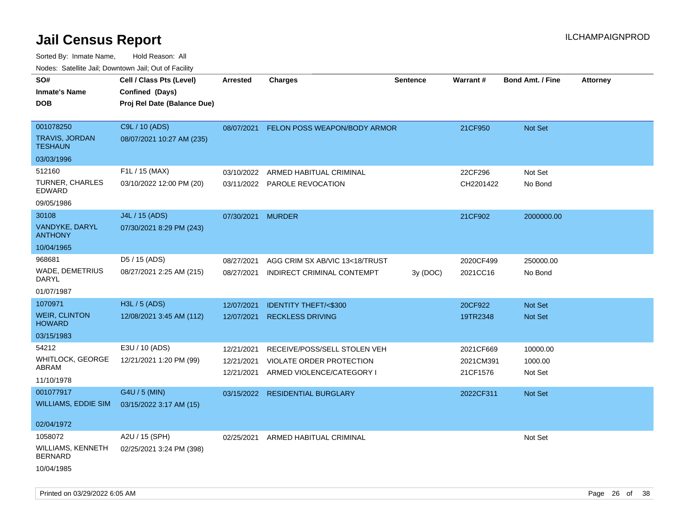| roaco. Catolino cali, Domntonn cali, Out of Facility |                             |                   |                                 |                 |           |                         |                 |
|------------------------------------------------------|-----------------------------|-------------------|---------------------------------|-----------------|-----------|-------------------------|-----------------|
| SO#                                                  | Cell / Class Pts (Level)    | Arrested          | Charges                         | <b>Sentence</b> | Warrant#  | <b>Bond Amt. / Fine</b> | <b>Attorney</b> |
| <b>Inmate's Name</b>                                 | Confined (Days)             |                   |                                 |                 |           |                         |                 |
| <b>DOB</b>                                           | Proj Rel Date (Balance Due) |                   |                                 |                 |           |                         |                 |
|                                                      |                             |                   |                                 |                 |           |                         |                 |
| 001078250                                            | C9L / 10 (ADS)              | 08/07/2021        | FELON POSS WEAPON/BODY ARMOR    |                 | 21CF950   | Not Set                 |                 |
| TRAVIS, JORDAN<br><b>TESHAUN</b>                     | 08/07/2021 10:27 AM (235)   |                   |                                 |                 |           |                         |                 |
| 03/03/1996                                           |                             |                   |                                 |                 |           |                         |                 |
| 512160                                               | F1L / 15 (MAX)              | 03/10/2022        | ARMED HABITUAL CRIMINAL         |                 | 22CF296   | Not Set                 |                 |
| <b>TURNER, CHARLES</b><br>EDWARD                     | 03/10/2022 12:00 PM (20)    |                   | 03/11/2022 PAROLE REVOCATION    |                 | CH2201422 | No Bond                 |                 |
| 09/05/1986                                           |                             |                   |                                 |                 |           |                         |                 |
| 30108                                                | J4L / 15 (ADS)              | 07/30/2021 MURDER |                                 |                 | 21CF902   | 2000000.00              |                 |
| VANDYKE, DARYL<br><b>ANTHONY</b>                     | 07/30/2021 8:29 PM (243)    |                   |                                 |                 |           |                         |                 |
| 10/04/1965                                           |                             |                   |                                 |                 |           |                         |                 |
| 968681                                               | D5 / 15 (ADS)               | 08/27/2021        | AGG CRIM SX AB/VIC 13<18/TRUST  |                 | 2020CF499 | 250000.00               |                 |
| WADE, DEMETRIUS<br><b>DARYL</b>                      | 08/27/2021 2:25 AM (215)    | 08/27/2021        | INDIRECT CRIMINAL CONTEMPT      | 3y (DOC)        | 2021CC16  | No Bond                 |                 |
| 01/07/1987                                           |                             |                   |                                 |                 |           |                         |                 |
| 1070971                                              | H3L / 5 (ADS)               | 12/07/2021        | <b>IDENTITY THEFT/&lt;\$300</b> |                 | 20CF922   | Not Set                 |                 |
| <b>WEIR, CLINTON</b><br><b>HOWARD</b>                | 12/08/2021 3:45 AM (112)    | 12/07/2021        | <b>RECKLESS DRIVING</b>         |                 | 19TR2348  | Not Set                 |                 |
| 03/15/1983                                           |                             |                   |                                 |                 |           |                         |                 |
| 54212                                                | E3U / 10 (ADS)              | 12/21/2021        | RECEIVE/POSS/SELL STOLEN VEH    |                 | 2021CF669 | 10000.00                |                 |
| WHITLOCK, GEORGE                                     | 12/21/2021 1:20 PM (99)     | 12/21/2021        | VIOLATE ORDER PROTECTION        |                 | 2021CM391 | 1000.00                 |                 |
| ABRAM                                                |                             | 12/21/2021        | ARMED VIOLENCE/CATEGORY I       |                 | 21CF1576  | Not Set                 |                 |
| 11/10/1978                                           |                             |                   |                                 |                 |           |                         |                 |
| 001077917                                            | G4U / 5 (MIN)               | 03/15/2022        | <b>RESIDENTIAL BURGLARY</b>     |                 | 2022CF311 | <b>Not Set</b>          |                 |
| WILLIAMS, EDDIE SIM                                  | 03/15/2022 3:17 AM (15)     |                   |                                 |                 |           |                         |                 |
| 02/04/1972                                           |                             |                   |                                 |                 |           |                         |                 |
| 1058072                                              | A2U / 15 (SPH)              |                   |                                 |                 |           |                         |                 |
| WILLIAMS, KENNETH                                    | 02/25/2021 3:24 PM (398)    | 02/25/2021        | ARMED HABITUAL CRIMINAL         |                 |           | Not Set                 |                 |
| <b>BERNARD</b>                                       |                             |                   |                                 |                 |           |                         |                 |
| 10/04/1985                                           |                             |                   |                                 |                 |           |                         |                 |
|                                                      |                             |                   |                                 |                 |           |                         |                 |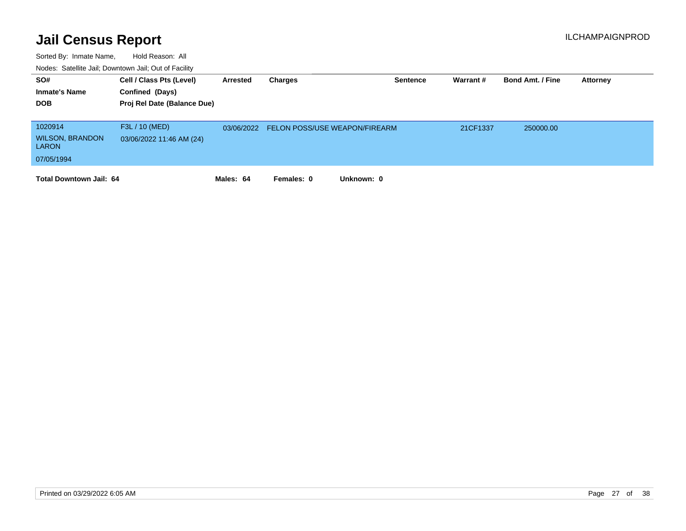| SO#<br><b>Inmate's Name</b><br><b>DOB</b>                       | Cell / Class Pts (Level)<br>Confined (Days)<br>Proj Rel Date (Balance Due) | Arrested   | Charges                              | <b>Sentence</b> | Warrant# | <b>Bond Amt. / Fine</b> | Attorney |
|-----------------------------------------------------------------|----------------------------------------------------------------------------|------------|--------------------------------------|-----------------|----------|-------------------------|----------|
| 1020914<br><b>WILSON, BRANDON</b><br><b>LARON</b><br>07/05/1994 | F3L / 10 (MED)<br>03/06/2022 11:46 AM (24)                                 | 03/06/2022 | <b>FELON POSS/USE WEAPON/FIREARM</b> |                 | 21CF1337 | 250000.00               |          |
| <b>Total Downtown Jail: 64</b>                                  |                                                                            | Males: 64  | Females: 0                           | Unknown: 0      |          |                         |          |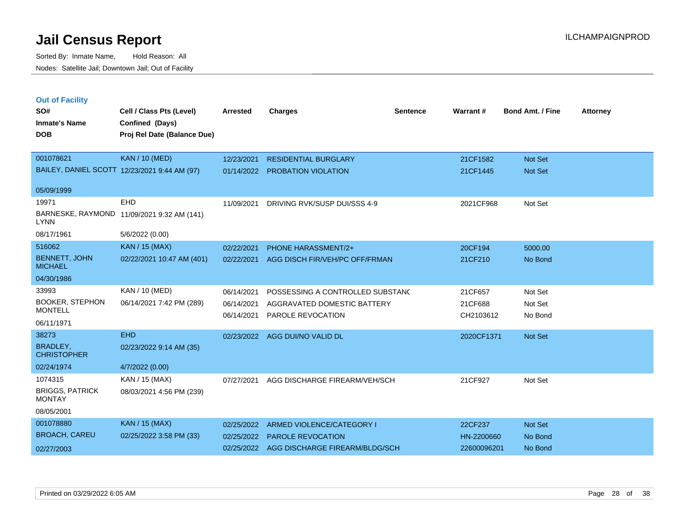| <b>Out of Facility</b><br>SO#<br><b>Inmate's Name</b><br><b>DOB</b> | Cell / Class Pts (Level)<br><b>Confined (Days)</b><br>Proj Rel Date (Balance Due) | <b>Arrested</b> | <b>Charges</b>                   | <b>Sentence</b> | Warrant#   | <b>Bond Amt. / Fine</b> | <b>Attorney</b> |
|---------------------------------------------------------------------|-----------------------------------------------------------------------------------|-----------------|----------------------------------|-----------------|------------|-------------------------|-----------------|
| 001078621                                                           | <b>KAN / 10 (MED)</b>                                                             | 12/23/2021      | <b>RESIDENTIAL BURGLARY</b>      |                 | 21CF1582   | Not Set                 |                 |
|                                                                     | BAILEY, DANIEL SCOTT 12/23/2021 9:44 AM (97)                                      | 01/14/2022      | <b>PROBATION VIOLATION</b>       |                 | 21CF1445   | <b>Not Set</b>          |                 |
| 05/09/1999                                                          |                                                                                   |                 |                                  |                 |            |                         |                 |
| 19971                                                               | <b>EHD</b>                                                                        | 11/09/2021      | DRIVING RVK/SUSP DUI/SSS 4-9     |                 | 2021CF968  | Not Set                 |                 |
| <b>LYNN</b>                                                         | BARNESKE, RAYMOND 11/09/2021 9:32 AM (141)                                        |                 |                                  |                 |            |                         |                 |
| 08/17/1961                                                          | 5/6/2022 (0.00)                                                                   |                 |                                  |                 |            |                         |                 |
| 516062                                                              | KAN / 15 (MAX)                                                                    | 02/22/2021      | <b>PHONE HARASSMENT/2+</b>       |                 | 20CF194    | 5000.00                 |                 |
| <b>BENNETT, JOHN</b><br><b>MICHAEL</b>                              | 02/22/2021 10:47 AM (401)                                                         | 02/22/2021      | AGG DISCH FIR/VEH/PC OFF/FRMAN   |                 | 21CF210    | No Bond                 |                 |
| 04/30/1986                                                          |                                                                                   |                 |                                  |                 |            |                         |                 |
| 33993                                                               | <b>KAN / 10 (MED)</b>                                                             | 06/14/2021      | POSSESSING A CONTROLLED SUBSTANC |                 | 21CF657    | Not Set                 |                 |
| <b>BOOKER, STEPHON</b>                                              | 06/14/2021 7:42 PM (289)                                                          | 06/14/2021      | AGGRAVATED DOMESTIC BATTERY      |                 | 21CF688    | Not Set                 |                 |
| <b>MONTELL</b>                                                      |                                                                                   | 06/14/2021      | PAROLE REVOCATION                |                 | CH2103612  | No Bond                 |                 |
| 06/11/1971                                                          |                                                                                   |                 |                                  |                 |            |                         |                 |
| 38273                                                               | <b>EHD</b>                                                                        | 02/23/2022      | AGG DUI/NO VALID DL              |                 | 2020CF1371 | Not Set                 |                 |
| BRADLEY,<br><b>CHRISTOPHER</b>                                      | 02/23/2022 9:14 AM (35)                                                           |                 |                                  |                 |            |                         |                 |
| 02/24/1974                                                          | 4/7/2022 (0.00)                                                                   |                 |                                  |                 |            |                         |                 |
| 1074315                                                             | KAN / 15 (MAX)                                                                    | 07/27/2021      | AGG DISCHARGE FIREARM/VEH/SCH    |                 | 21CF927    | Not Set                 |                 |
| <b>BRIGGS, PATRICK</b><br><b>MONTAY</b>                             | 08/03/2021 4:56 PM (239)                                                          |                 |                                  |                 |            |                         |                 |
| 08/05/2001                                                          |                                                                                   |                 |                                  |                 |            |                         |                 |
| 001070000                                                           | I Z A A I I A E I A A A Y                                                         |                 |                                  |                 |            | <b>Service Control</b>  |                 |

| 001078880            | KAN / 15 (MAX)          | 02/25/2022 ARMED VIOLENCE/CATEGORY I      | 22CF237     | Not Set |
|----------------------|-------------------------|-------------------------------------------|-------------|---------|
| <b>BROACH, CAREU</b> | 02/25/2022 3:58 PM (33) | 02/25/2022 PAROLE REVOCATION              | HN-2200660  | No Bond |
| 02/27/2003           |                         | 02/25/2022 AGG DISCHARGE FIREARM/BLDG/SCH | 22600096201 | No Bond |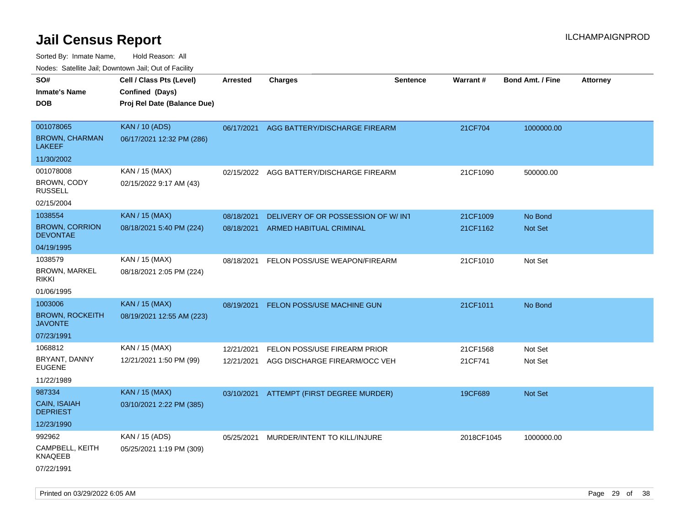| ivouss. Satellite Jali, Downtown Jali, Out of Facility |                             |            |                                          |                 |                 |                         |                 |
|--------------------------------------------------------|-----------------------------|------------|------------------------------------------|-----------------|-----------------|-------------------------|-----------------|
| SO#                                                    | Cell / Class Pts (Level)    | Arrested   | <b>Charges</b>                           | <b>Sentence</b> | <b>Warrant#</b> | <b>Bond Amt. / Fine</b> | <b>Attorney</b> |
| Inmate's Name                                          | Confined (Days)             |            |                                          |                 |                 |                         |                 |
| <b>DOB</b>                                             | Proj Rel Date (Balance Due) |            |                                          |                 |                 |                         |                 |
|                                                        |                             |            |                                          |                 |                 |                         |                 |
| 001078065                                              | <b>KAN / 10 (ADS)</b>       | 06/17/2021 | AGG BATTERY/DISCHARGE FIREARM            |                 | 21CF704         | 1000000.00              |                 |
| <b>BROWN, CHARMAN</b><br>LAKEEF                        | 06/17/2021 12:32 PM (286)   |            |                                          |                 |                 |                         |                 |
| 11/30/2002                                             |                             |            |                                          |                 |                 |                         |                 |
| 001078008                                              | KAN / 15 (MAX)              | 02/15/2022 | AGG BATTERY/DISCHARGE FIREARM            |                 | 21CF1090        | 500000.00               |                 |
| BROWN, CODY<br>RUSSELL                                 | 02/15/2022 9:17 AM (43)     |            |                                          |                 |                 |                         |                 |
| 02/15/2004                                             |                             |            |                                          |                 |                 |                         |                 |
| 1038554                                                | <b>KAN / 15 (MAX)</b>       | 08/18/2021 | DELIVERY OF OR POSSESSION OF W/INT       |                 | 21CF1009        | No Bond                 |                 |
| <b>BROWN, CORRION</b><br><b>DEVONTAE</b>               | 08/18/2021 5:40 PM (224)    | 08/18/2021 | ARMED HABITUAL CRIMINAL                  |                 | 21CF1162        | Not Set                 |                 |
| 04/19/1995                                             |                             |            |                                          |                 |                 |                         |                 |
| 1038579                                                | KAN / 15 (MAX)              | 08/18/2021 | FELON POSS/USE WEAPON/FIREARM            |                 | 21CF1010        | Not Set                 |                 |
| <b>BROWN, MARKEL</b><br>rikki                          | 08/18/2021 2:05 PM (224)    |            |                                          |                 |                 |                         |                 |
| 01/06/1995                                             |                             |            |                                          |                 |                 |                         |                 |
| 1003006                                                | <b>KAN / 15 (MAX)</b>       | 08/19/2021 | <b>FELON POSS/USE MACHINE GUN</b>        |                 | 21CF1011        | No Bond                 |                 |
| <b>BROWN, ROCKEITH</b><br>JAVONTE                      | 08/19/2021 12:55 AM (223)   |            |                                          |                 |                 |                         |                 |
| 07/23/1991                                             |                             |            |                                          |                 |                 |                         |                 |
| 1068812                                                | KAN / 15 (MAX)              | 12/21/2021 | FELON POSS/USE FIREARM PRIOR             |                 | 21CF1568        | Not Set                 |                 |
| BRYANT, DANNY<br>EUGENE                                | 12/21/2021 1:50 PM (99)     | 12/21/2021 | AGG DISCHARGE FIREARM/OCC VEH            |                 | 21CF741         | Not Set                 |                 |
| 11/22/1989                                             |                             |            |                                          |                 |                 |                         |                 |
| 987334                                                 | <b>KAN / 15 (MAX)</b>       |            | 03/10/2021 ATTEMPT (FIRST DEGREE MURDER) |                 | 19CF689         | <b>Not Set</b>          |                 |
| <b>CAIN, ISAIAH</b><br><b>DEPRIEST</b>                 | 03/10/2021 2:22 PM (385)    |            |                                          |                 |                 |                         |                 |
| 12/23/1990                                             |                             |            |                                          |                 |                 |                         |                 |
| 992962                                                 | KAN / 15 (ADS)              | 05/25/2021 | MURDER/INTENT TO KILL/INJURE             |                 | 2018CF1045      | 1000000.00              |                 |
| CAMPBELL, KEITH<br>KNAQEEB                             | 05/25/2021 1:19 PM (309)    |            |                                          |                 |                 |                         |                 |
| 07/22/1991                                             |                             |            |                                          |                 |                 |                         |                 |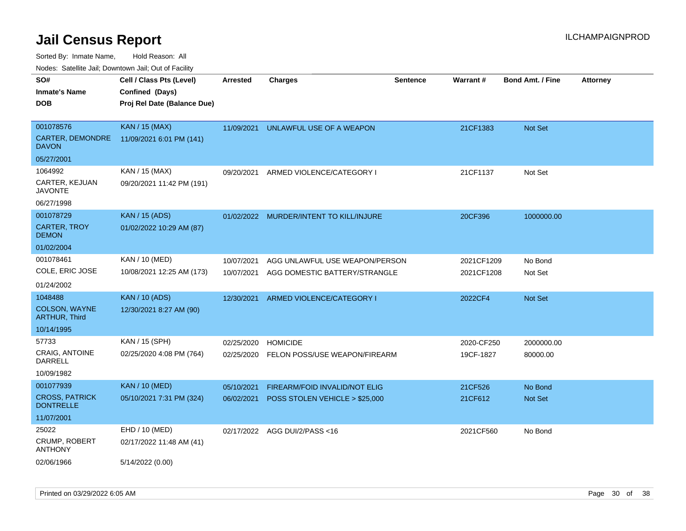Sorted By: Inmate Name, Hold Reason: All

Nodes: Satellite Jail; Downtown Jail; Out of Facility

| SO#                                       | Cell / Class Pts (Level)    | <b>Arrested</b> | <b>Charges</b>                       | <b>Sentence</b> | Warrant#   | <b>Bond Amt. / Fine</b> | <b>Attorney</b> |
|-------------------------------------------|-----------------------------|-----------------|--------------------------------------|-----------------|------------|-------------------------|-----------------|
| <b>Inmate's Name</b>                      | Confined (Days)             |                 |                                      |                 |            |                         |                 |
| <b>DOB</b>                                | Proj Rel Date (Balance Due) |                 |                                      |                 |            |                         |                 |
|                                           |                             |                 |                                      |                 |            |                         |                 |
| 001078576                                 | <b>KAN / 15 (MAX)</b>       | 11/09/2021      | UNLAWFUL USE OF A WEAPON             |                 | 21CF1383   | <b>Not Set</b>          |                 |
| CARTER, DEMONDRE<br><b>DAVON</b>          | 11/09/2021 6:01 PM (141)    |                 |                                      |                 |            |                         |                 |
| 05/27/2001                                |                             |                 |                                      |                 |            |                         |                 |
| 1064992                                   | KAN / 15 (MAX)              | 09/20/2021      | ARMED VIOLENCE/CATEGORY I            |                 | 21CF1137   | Not Set                 |                 |
| CARTER, KEJUAN<br><b>JAVONTE</b>          | 09/20/2021 11:42 PM (191)   |                 |                                      |                 |            |                         |                 |
| 06/27/1998                                |                             |                 |                                      |                 |            |                         |                 |
| 001078729                                 | <b>KAN</b> / 15 (ADS)       | 01/02/2022      | MURDER/INTENT TO KILL/INJURE         |                 | 20CF396    | 1000000.00              |                 |
| <b>CARTER, TROY</b><br><b>DEMON</b>       | 01/02/2022 10:29 AM (87)    |                 |                                      |                 |            |                         |                 |
| 01/02/2004                                |                             |                 |                                      |                 |            |                         |                 |
| 001078461                                 | KAN / 10 (MED)              | 10/07/2021      | AGG UNLAWFUL USE WEAPON/PERSON       |                 | 2021CF1209 | No Bond                 |                 |
| COLE, ERIC JOSE                           | 10/08/2021 12:25 AM (173)   | 10/07/2021      | AGG DOMESTIC BATTERY/STRANGLE        |                 | 2021CF1208 | Not Set                 |                 |
| 01/24/2002                                |                             |                 |                                      |                 |            |                         |                 |
| 1048488                                   | <b>KAN / 10 (ADS)</b>       | 12/30/2021      | ARMED VIOLENCE/CATEGORY I            |                 | 2022CF4    | Not Set                 |                 |
| COLSON, WAYNE<br><b>ARTHUR, Third</b>     | 12/30/2021 8:27 AM (90)     |                 |                                      |                 |            |                         |                 |
| 10/14/1995                                |                             |                 |                                      |                 |            |                         |                 |
| 57733                                     | KAN / 15 (SPH)              | 02/25/2020      | <b>HOMICIDE</b>                      |                 | 2020-CF250 | 2000000.00              |                 |
| <b>CRAIG, ANTOINE</b><br>DARRELL          | 02/25/2020 4:08 PM (764)    | 02/25/2020      | FELON POSS/USE WEAPON/FIREARM        |                 | 19CF-1827  | 80000.00                |                 |
| 10/09/1982                                |                             |                 |                                      |                 |            |                         |                 |
| 001077939                                 | <b>KAN / 10 (MED)</b>       | 05/10/2021      | <b>FIREARM/FOID INVALID/NOT ELIG</b> |                 | 21CF526    | No Bond                 |                 |
| <b>CROSS, PATRICK</b><br><b>DONTRELLE</b> | 05/10/2021 7:31 PM (324)    | 06/02/2021      | POSS STOLEN VEHICLE > \$25,000       |                 | 21CF612    | Not Set                 |                 |
| 11/07/2001                                |                             |                 |                                      |                 |            |                         |                 |
| 25022                                     | EHD / 10 (MED)              |                 | 02/17/2022 AGG DUI/2/PASS<16         |                 | 2021CF560  | No Bond                 |                 |
| CRUMP, ROBERT<br><b>ANTHONY</b>           | 02/17/2022 11:48 AM (41)    |                 |                                      |                 |            |                         |                 |
| 02/06/1966                                | 5/14/2022 (0.00)            |                 |                                      |                 |            |                         |                 |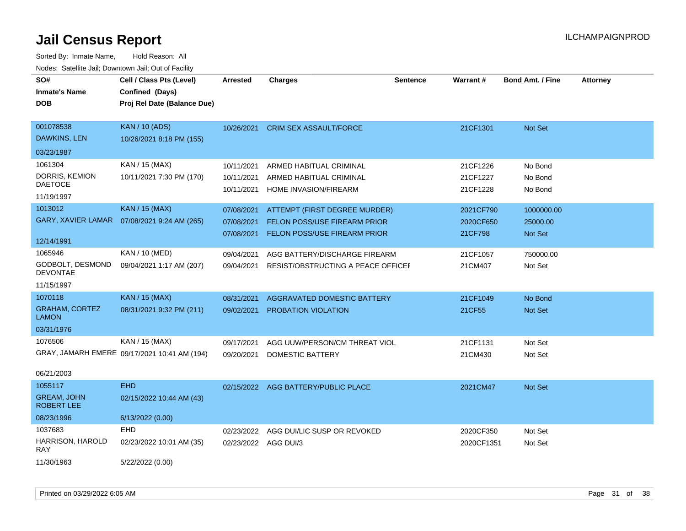| <u>Rodos.</u> Odiolino dali, Downtown dali, Odi of Fabilit |                                              |                      |                                              |                 |                 |                         |                 |
|------------------------------------------------------------|----------------------------------------------|----------------------|----------------------------------------------|-----------------|-----------------|-------------------------|-----------------|
| SO#                                                        | Cell / Class Pts (Level)                     | Arrested             | <b>Charges</b>                               | <b>Sentence</b> | <b>Warrant#</b> | <b>Bond Amt. / Fine</b> | <b>Attorney</b> |
| <b>Inmate's Name</b>                                       | Confined (Days)                              |                      |                                              |                 |                 |                         |                 |
| <b>DOB</b>                                                 | Proj Rel Date (Balance Due)                  |                      |                                              |                 |                 |                         |                 |
|                                                            |                                              |                      |                                              |                 |                 |                         |                 |
| 001078538                                                  | <b>KAN / 10 (ADS)</b>                        | 10/26/2021           | <b>CRIM SEX ASSAULT/FORCE</b>                |                 | 21CF1301        | <b>Not Set</b>          |                 |
| DAWKINS, LEN                                               | 10/26/2021 8:18 PM (155)                     |                      |                                              |                 |                 |                         |                 |
| 03/23/1987                                                 |                                              |                      |                                              |                 |                 |                         |                 |
| 1061304                                                    | KAN / 15 (MAX)                               | 10/11/2021           | ARMED HABITUAL CRIMINAL                      |                 | 21CF1226        | No Bond                 |                 |
| DORRIS, KEMION                                             | 10/11/2021 7:30 PM (170)                     | 10/11/2021           | ARMED HABITUAL CRIMINAL                      |                 | 21CF1227        | No Bond                 |                 |
| <b>DAETOCE</b>                                             |                                              | 10/11/2021           | HOME INVASION/FIREARM                        |                 | 21CF1228        | No Bond                 |                 |
| 11/19/1997                                                 |                                              |                      |                                              |                 |                 |                         |                 |
| 1013012                                                    | <b>KAN / 15 (MAX)</b>                        | 07/08/2021           | ATTEMPT (FIRST DEGREE MURDER)                |                 | 2021CF790       | 1000000.00              |                 |
| <b>GARY, XAVIER LAMAR</b>                                  | 07/08/2021 9:24 AM (265)                     | 07/08/2021           | FELON POSS/USE FIREARM PRIOR                 |                 | 2020CF650       | 25000.00                |                 |
|                                                            |                                              | 07/08/2021           | <b>FELON POSS/USE FIREARM PRIOR</b>          |                 | 21CF798         | Not Set                 |                 |
| 12/14/1991                                                 |                                              |                      |                                              |                 |                 |                         |                 |
| 1065946                                                    | <b>KAN / 10 (MED)</b>                        | 09/04/2021           | AGG BATTERY/DISCHARGE FIREARM                |                 | 21CF1057        | 750000.00               |                 |
| GODBOLT, DESMOND<br><b>DEVONTAE</b>                        | 09/04/2021 1:17 AM (207)                     |                      | 09/04/2021 RESIST/OBSTRUCTING A PEACE OFFICE |                 | 21CM407         | Not Set                 |                 |
| 11/15/1997                                                 |                                              |                      |                                              |                 |                 |                         |                 |
| 1070118                                                    | KAN / 15 (MAX)                               | 08/31/2021           | AGGRAVATED DOMESTIC BATTERY                  |                 | 21CF1049        | No Bond                 |                 |
| <b>GRAHAM, CORTEZ</b><br><b>LAMON</b>                      | 08/31/2021 9:32 PM (211)                     | 09/02/2021           | PROBATION VIOLATION                          |                 | 21CF55          | <b>Not Set</b>          |                 |
| 03/31/1976                                                 |                                              |                      |                                              |                 |                 |                         |                 |
| 1076506                                                    | KAN / 15 (MAX)                               | 09/17/2021           | AGG UUW/PERSON/CM THREAT VIOL                |                 | 21CF1131        | Not Set                 |                 |
|                                                            | GRAY, JAMARH EMERE 09/17/2021 10:41 AM (194) | 09/20/2021           | <b>DOMESTIC BATTERY</b>                      |                 | 21CM430         | Not Set                 |                 |
|                                                            |                                              |                      |                                              |                 |                 |                         |                 |
| 06/21/2003                                                 |                                              |                      |                                              |                 |                 |                         |                 |
| 1055117                                                    | <b>EHD</b>                                   |                      | 02/15/2022 AGG BATTERY/PUBLIC PLACE          |                 | 2021CM47        | <b>Not Set</b>          |                 |
| <b>GREAM, JOHN</b><br><b>ROBERT LEE</b>                    | 02/15/2022 10:44 AM (43)                     |                      |                                              |                 |                 |                         |                 |
| 08/23/1996                                                 | 6/13/2022 (0.00)                             |                      |                                              |                 |                 |                         |                 |
| 1037683                                                    | EHD                                          | 02/23/2022           | AGG DUI/LIC SUSP OR REVOKED                  |                 | 2020CF350       | Not Set                 |                 |
| HARRISON, HAROLD<br><b>RAY</b>                             | 02/23/2022 10:01 AM (35)                     | 02/23/2022 AGG DUI/3 |                                              |                 | 2020CF1351      | Not Set                 |                 |
| 11/30/1963                                                 | 5/22/2022 (0.00)                             |                      |                                              |                 |                 |                         |                 |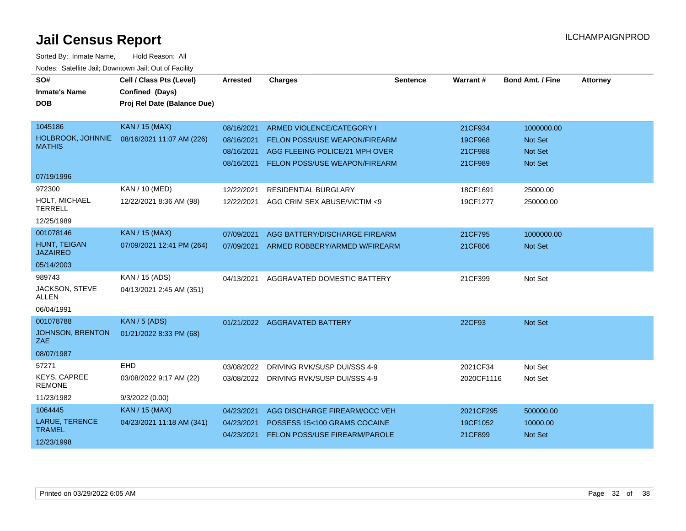| SO#<br><b>Inmate's Name</b><br><b>DOB</b> | Cell / Class Pts (Level)<br>Confined (Days)<br>Proj Rel Date (Balance Due) | <b>Arrested</b> | <b>Charges</b>                           | <b>Sentence</b> | Warrant#   | <b>Bond Amt. / Fine</b> | <b>Attorney</b> |
|-------------------------------------------|----------------------------------------------------------------------------|-----------------|------------------------------------------|-----------------|------------|-------------------------|-----------------|
|                                           |                                                                            |                 |                                          |                 |            |                         |                 |
| 1045186                                   | <b>KAN / 15 (MAX)</b>                                                      | 08/16/2021      | ARMED VIOLENCE/CATEGORY I                |                 | 21CF934    | 1000000.00              |                 |
| HOLBROOK, JOHNNIE<br><b>MATHIS</b>        | 08/16/2021 11:07 AM (226)                                                  | 08/16/2021      | FELON POSS/USE WEAPON/FIREARM            |                 | 19CF968    | <b>Not Set</b>          |                 |
|                                           |                                                                            | 08/16/2021      | AGG FLEEING POLICE/21 MPH OVER           |                 | 21CF988    | <b>Not Set</b>          |                 |
|                                           |                                                                            | 08/16/2021      | FELON POSS/USE WEAPON/FIREARM            |                 | 21CF989    | <b>Not Set</b>          |                 |
| 07/19/1996                                |                                                                            |                 |                                          |                 |            |                         |                 |
| 972300                                    | <b>KAN / 10 (MED)</b>                                                      | 12/22/2021      | <b>RESIDENTIAL BURGLARY</b>              |                 | 18CF1691   | 25000.00                |                 |
| HOLT, MICHAEL<br><b>TERRELL</b>           | 12/22/2021 8:36 AM (98)                                                    | 12/22/2021      | AGG CRIM SEX ABUSE/VICTIM <9             |                 | 19CF1277   | 250000.00               |                 |
| 12/25/1989                                |                                                                            |                 |                                          |                 |            |                         |                 |
| 001078146                                 | <b>KAN / 15 (MAX)</b>                                                      | 07/09/2021      | AGG BATTERY/DISCHARGE FIREARM            |                 | 21CF795    | 1000000.00              |                 |
| HUNT, TEIGAN<br><b>JAZAIREO</b>           | 07/09/2021 12:41 PM (264)                                                  |                 | 07/09/2021 ARMED ROBBERY/ARMED W/FIREARM |                 | 21CF806    | Not Set                 |                 |
| 05/14/2003                                |                                                                            |                 |                                          |                 |            |                         |                 |
| 989743                                    | KAN / 15 (ADS)                                                             | 04/13/2021      | AGGRAVATED DOMESTIC BATTERY              |                 | 21CF399    | Not Set                 |                 |
| JACKSON, STEVE<br><b>ALLEN</b>            | 04/13/2021 2:45 AM (351)                                                   |                 |                                          |                 |            |                         |                 |
| 06/04/1991                                |                                                                            |                 |                                          |                 |            |                         |                 |
| 001078788                                 | <b>KAN / 5 (ADS)</b>                                                       |                 | 01/21/2022 AGGRAVATED BATTERY            |                 | 22CF93     | Not Set                 |                 |
| JOHNSON, BRENTON<br>ZAE                   | 01/21/2022 8:33 PM (68)                                                    |                 |                                          |                 |            |                         |                 |
| 08/07/1987                                |                                                                            |                 |                                          |                 |            |                         |                 |
| 57271                                     | EHD                                                                        | 03/08/2022      | DRIVING RVK/SUSP DUI/SSS 4-9             |                 | 2021CF34   | Not Set                 |                 |
| <b>KEYS, CAPREE</b><br><b>REMONE</b>      | 03/08/2022 9:17 AM (22)                                                    |                 | 03/08/2022 DRIVING RVK/SUSP DUI/SSS 4-9  |                 | 2020CF1116 | Not Set                 |                 |
| 11/23/1982                                | 9/3/2022(0.00)                                                             |                 |                                          |                 |            |                         |                 |
| 1064445                                   | <b>KAN / 15 (MAX)</b>                                                      | 04/23/2021      | AGG DISCHARGE FIREARM/OCC VEH            |                 | 2021CF295  | 500000.00               |                 |
| LARUE, TERENCE                            | 04/23/2021 11:18 AM (341)                                                  | 04/23/2021      | POSSESS 15<100 GRAMS COCAINE             |                 | 19CF1052   | 10000.00                |                 |
| <b>TRAMEL</b>                             |                                                                            | 04/23/2021      | FELON POSS/USE FIREARM/PAROLE            |                 | 21CF899    | Not Set                 |                 |
| 12/23/1998                                |                                                                            |                 |                                          |                 |            |                         |                 |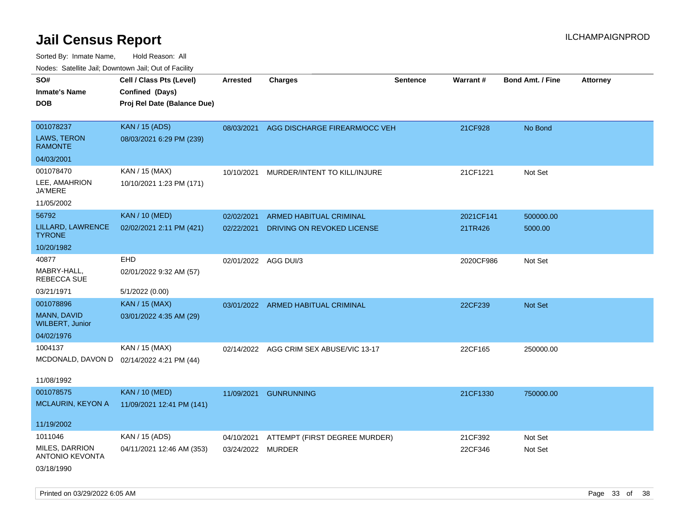| ivoues. Salellite Jali, Downtown Jali, Out of Facility |                                           |                      |                                         |                 |           |                         |                 |
|--------------------------------------------------------|-------------------------------------------|----------------------|-----------------------------------------|-----------------|-----------|-------------------------|-----------------|
| SO#                                                    | Cell / Class Pts (Level)                  | <b>Arrested</b>      | <b>Charges</b>                          | <b>Sentence</b> | Warrant#  | <b>Bond Amt. / Fine</b> | <b>Attorney</b> |
| Inmate's Name                                          | Confined (Days)                           |                      |                                         |                 |           |                         |                 |
| <b>DOB</b>                                             | Proj Rel Date (Balance Due)               |                      |                                         |                 |           |                         |                 |
|                                                        |                                           |                      |                                         |                 |           |                         |                 |
| 001078237                                              | <b>KAN / 15 (ADS)</b>                     | 08/03/2021           | AGG DISCHARGE FIREARM/OCC VEH           |                 | 21CF928   | No Bond                 |                 |
| <b>LAWS, TERON</b><br><b>RAMONTE</b>                   | 08/03/2021 6:29 PM (239)                  |                      |                                         |                 |           |                         |                 |
| 04/03/2001                                             |                                           |                      |                                         |                 |           |                         |                 |
| 001078470                                              | KAN / 15 (MAX)                            | 10/10/2021           | MURDER/INTENT TO KILL/INJURE            |                 | 21CF1221  | Not Set                 |                 |
| LEE, AMAHRION<br>JA'MERE                               | 10/10/2021 1:23 PM (171)                  |                      |                                         |                 |           |                         |                 |
| 11/05/2002                                             |                                           |                      |                                         |                 |           |                         |                 |
| 56792                                                  | <b>KAN / 10 (MED)</b>                     | 02/02/2021           | <b>ARMED HABITUAL CRIMINAL</b>          |                 | 2021CF141 | 500000.00               |                 |
| LILLARD, LAWRENCE<br>TYRONE                            | 02/02/2021 2:11 PM (421)                  | 02/22/2021           | DRIVING ON REVOKED LICENSE              |                 | 21TR426   | 5000.00                 |                 |
| 10/20/1982                                             |                                           |                      |                                         |                 |           |                         |                 |
| 40877                                                  | <b>EHD</b>                                | 02/01/2022 AGG DUI/3 |                                         |                 | 2020CF986 | Not Set                 |                 |
| MABRY-HALL,<br>REBECCA SUE                             | 02/01/2022 9:32 AM (57)                   |                      |                                         |                 |           |                         |                 |
| 03/21/1971                                             | 5/1/2022 (0.00)                           |                      |                                         |                 |           |                         |                 |
| 001078896                                              | <b>KAN / 15 (MAX)</b>                     |                      | 03/01/2022 ARMED HABITUAL CRIMINAL      |                 | 22CF239   | <b>Not Set</b>          |                 |
| MANN, DAVID<br><b>WILBERT, Junior</b>                  | 03/01/2022 4:35 AM (29)                   |                      |                                         |                 |           |                         |                 |
| 04/02/1976                                             |                                           |                      |                                         |                 |           |                         |                 |
| 1004137                                                | KAN / 15 (MAX)                            |                      | 02/14/2022 AGG CRIM SEX ABUSE/VIC 13-17 |                 | 22CF165   | 250000.00               |                 |
|                                                        | MCDONALD, DAVON D 02/14/2022 4:21 PM (44) |                      |                                         |                 |           |                         |                 |
|                                                        |                                           |                      |                                         |                 |           |                         |                 |
| 11/08/1992                                             |                                           |                      |                                         |                 |           |                         |                 |
| 001078575                                              | <b>KAN / 10 (MED)</b>                     | 11/09/2021           | <b>GUNRUNNING</b>                       |                 | 21CF1330  | 750000.00               |                 |
| MCLAURIN, KEYON A                                      | 11/09/2021 12:41 PM (141)                 |                      |                                         |                 |           |                         |                 |
| 11/19/2002                                             |                                           |                      |                                         |                 |           |                         |                 |
| 1011046                                                | KAN / 15 (ADS)                            | 04/10/2021           | ATTEMPT (FIRST DEGREE MURDER)           |                 | 21CF392   | Not Set                 |                 |
| MILES, DARRION<br><b>ANTONIO KEVONTA</b>               | 04/11/2021 12:46 AM (353)                 | 03/24/2022 MURDER    |                                         |                 | 22CF346   | Not Set                 |                 |
| 03/18/1990                                             |                                           |                      |                                         |                 |           |                         |                 |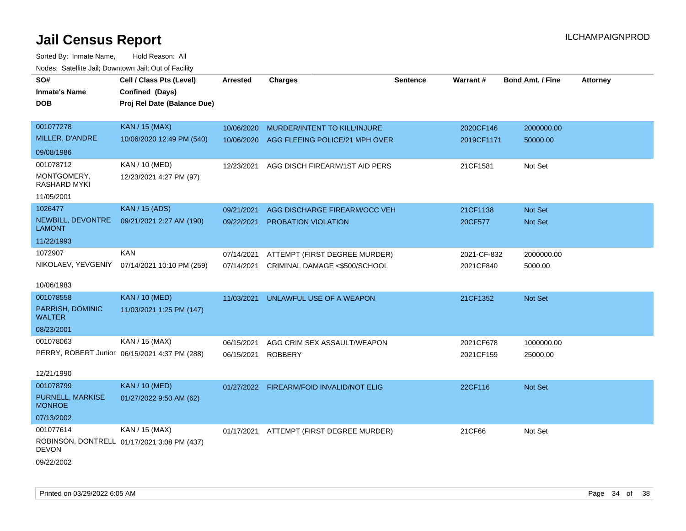| SO#                                | Cell / Class Pts (Level)                      | <b>Arrested</b> | <b>Charges</b>                           | <b>Sentence</b> | Warrant#    | <b>Bond Amt. / Fine</b> | <b>Attorney</b> |
|------------------------------------|-----------------------------------------------|-----------------|------------------------------------------|-----------------|-------------|-------------------------|-----------------|
| <b>Inmate's Name</b>               | Confined (Days)                               |                 |                                          |                 |             |                         |                 |
| <b>DOB</b>                         | Proj Rel Date (Balance Due)                   |                 |                                          |                 |             |                         |                 |
|                                    |                                               |                 |                                          |                 |             |                         |                 |
| 001077278                          | <b>KAN / 15 (MAX)</b>                         | 10/06/2020      | MURDER/INTENT TO KILL/INJURE             |                 | 2020CF146   | 2000000.00              |                 |
| MILLER, D'ANDRE                    | 10/06/2020 12:49 PM (540)                     | 10/06/2020      | AGG FLEEING POLICE/21 MPH OVER           |                 | 2019CF1171  | 50000.00                |                 |
| 09/08/1986                         |                                               |                 |                                          |                 |             |                         |                 |
| 001078712                          | KAN / 10 (MED)                                | 12/23/2021      | AGG DISCH FIREARM/1ST AID PERS           |                 | 21CF1581    | Not Set                 |                 |
| MONTGOMERY,<br>RASHARD MYKI        | 12/23/2021 4:27 PM (97)                       |                 |                                          |                 |             |                         |                 |
| 11/05/2001                         |                                               |                 |                                          |                 |             |                         |                 |
| 1026477                            | <b>KAN / 15 (ADS)</b>                         | 09/21/2021      | AGG DISCHARGE FIREARM/OCC VEH            |                 | 21CF1138    | <b>Not Set</b>          |                 |
| NEWBILL, DEVONTRE<br><b>LAMONT</b> | 09/21/2021 2:27 AM (190)                      | 09/22/2021      | PROBATION VIOLATION                      |                 | 20CF577     | Not Set                 |                 |
| 11/22/1993                         |                                               |                 |                                          |                 |             |                         |                 |
| 1072907                            | <b>KAN</b>                                    | 07/14/2021      | ATTEMPT (FIRST DEGREE MURDER)            |                 | 2021-CF-832 | 2000000.00              |                 |
| NIKOLAEV, YEVGENIY                 | 07/14/2021 10:10 PM (259)                     | 07/14/2021      | CRIMINAL DAMAGE <\$500/SCHOOL            |                 | 2021CF840   | 5000.00                 |                 |
| 10/06/1983                         |                                               |                 |                                          |                 |             |                         |                 |
| 001078558                          | <b>KAN / 10 (MED)</b>                         | 11/03/2021      | UNLAWFUL USE OF A WEAPON                 |                 | 21CF1352    | Not Set                 |                 |
| PARRISH, DOMINIC<br><b>WALTER</b>  | 11/03/2021 1:25 PM (147)                      |                 |                                          |                 |             |                         |                 |
| 08/23/2001                         |                                               |                 |                                          |                 |             |                         |                 |
| 001078063                          | KAN / 15 (MAX)                                | 06/15/2021      | AGG CRIM SEX ASSAULT/WEAPON              |                 | 2021CF678   | 1000000.00              |                 |
|                                    | PERRY, ROBERT Junior 06/15/2021 4:37 PM (288) | 06/15/2021      | <b>ROBBERY</b>                           |                 | 2021CF159   | 25000.00                |                 |
| 12/21/1990                         |                                               |                 |                                          |                 |             |                         |                 |
| 001078799                          | <b>KAN / 10 (MED)</b>                         |                 | 01/27/2022 FIREARM/FOID INVALID/NOT ELIG |                 | 22CF116     | Not Set                 |                 |
| PURNELL, MARKISE<br><b>MONROE</b>  | 01/27/2022 9:50 AM (62)                       |                 |                                          |                 |             |                         |                 |
| 07/13/2002                         |                                               |                 |                                          |                 |             |                         |                 |
| 001077614                          | KAN / 15 (MAX)                                | 01/17/2021      | ATTEMPT (FIRST DEGREE MURDER)            |                 | 21CF66      | Not Set                 |                 |
| <b>DEVON</b>                       | ROBINSON, DONTRELL 01/17/2021 3:08 PM (437)   |                 |                                          |                 |             |                         |                 |
| 09/22/2002                         |                                               |                 |                                          |                 |             |                         |                 |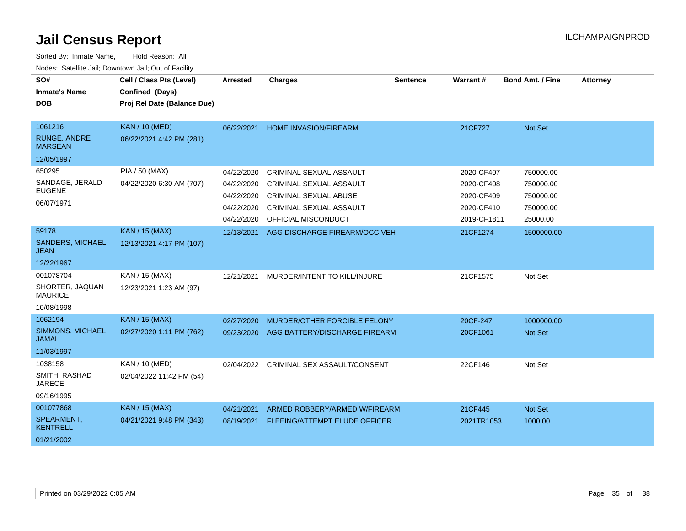| SO#<br><b>Inmate's Name</b>           | Cell / Class Pts (Level)<br>Confined (Days) | Arrested   | <b>Charges</b>                       | <b>Sentence</b> | Warrant#    | <b>Bond Amt. / Fine</b> | <b>Attorney</b> |
|---------------------------------------|---------------------------------------------|------------|--------------------------------------|-----------------|-------------|-------------------------|-----------------|
| <b>DOB</b>                            | Proj Rel Date (Balance Due)                 |            |                                      |                 |             |                         |                 |
| 1061216                               | <b>KAN / 10 (MED)</b>                       | 06/22/2021 | <b>HOME INVASION/FIREARM</b>         |                 | 21CF727     | Not Set                 |                 |
| <b>RUNGE, ANDRE</b><br><b>MARSEAN</b> | 06/22/2021 4:42 PM (281)                    |            |                                      |                 |             |                         |                 |
| 12/05/1997                            |                                             |            |                                      |                 |             |                         |                 |
| 650295                                | <b>PIA / 50 (MAX)</b>                       | 04/22/2020 | CRIMINAL SEXUAL ASSAULT              |                 | 2020-CF407  | 750000.00               |                 |
| SANDAGE, JERALD                       | 04/22/2020 6:30 AM (707)                    | 04/22/2020 | <b>CRIMINAL SEXUAL ASSAULT</b>       |                 | 2020-CF408  | 750000.00               |                 |
| <b>EUGENE</b>                         |                                             | 04/22/2020 | <b>CRIMINAL SEXUAL ABUSE</b>         |                 | 2020-CF409  | 750000.00               |                 |
| 06/07/1971                            |                                             | 04/22/2020 | CRIMINAL SEXUAL ASSAULT              |                 | 2020-CF410  | 750000.00               |                 |
|                                       |                                             | 04/22/2020 | OFFICIAL MISCONDUCT                  |                 | 2019-CF1811 | 25000.00                |                 |
| 59178                                 | <b>KAN / 15 (MAX)</b>                       | 12/13/2021 | AGG DISCHARGE FIREARM/OCC VEH        |                 | 21CF1274    | 1500000.00              |                 |
| SANDERS, MICHAEL<br><b>JEAN</b>       | 12/13/2021 4:17 PM (107)                    |            |                                      |                 |             |                         |                 |
| 12/22/1967                            |                                             |            |                                      |                 |             |                         |                 |
| 001078704                             | KAN / 15 (MAX)                              | 12/21/2021 | MURDER/INTENT TO KILL/INJURE         |                 | 21CF1575    | Not Set                 |                 |
| SHORTER, JAQUAN<br><b>MAURICE</b>     | 12/23/2021 1:23 AM (97)                     |            |                                      |                 |             |                         |                 |
| 10/08/1998                            |                                             |            |                                      |                 |             |                         |                 |
| 1062194                               | <b>KAN / 15 (MAX)</b>                       | 02/27/2020 | MURDER/OTHER FORCIBLE FELONY         |                 | 20CF-247    | 1000000.00              |                 |
| SIMMONS, MICHAEL<br><b>JAMAL</b>      | 02/27/2020 1:11 PM (762)                    | 09/23/2020 | AGG BATTERY/DISCHARGE FIREARM        |                 | 20CF1061    | <b>Not Set</b>          |                 |
| 11/03/1997                            |                                             |            |                                      |                 |             |                         |                 |
| 1038158                               | KAN / 10 (MED)                              | 02/04/2022 | <b>CRIMINAL SEX ASSAULT/CONSENT</b>  |                 | 22CF146     | Not Set                 |                 |
| SMITH, RASHAD<br><b>JARECE</b>        | 02/04/2022 11:42 PM (54)                    |            |                                      |                 |             |                         |                 |
| 09/16/1995                            |                                             |            |                                      |                 |             |                         |                 |
| 001077868                             | <b>KAN / 15 (MAX)</b>                       | 04/21/2021 | ARMED ROBBERY/ARMED W/FIREARM        |                 | 21CF445     | Not Set                 |                 |
| SPEARMENT,<br><b>KENTRELL</b>         | 04/21/2021 9:48 PM (343)                    | 08/19/2021 | <b>FLEEING/ATTEMPT ELUDE OFFICER</b> |                 | 2021TR1053  | 1000.00                 |                 |
| 01/21/2002                            |                                             |            |                                      |                 |             |                         |                 |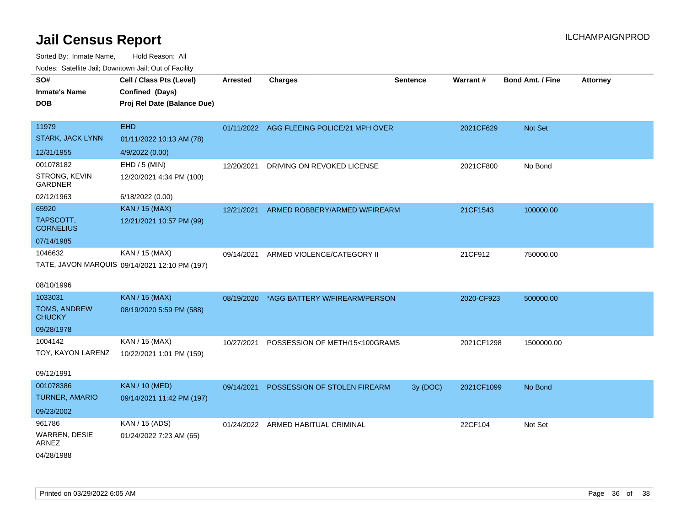| ivuutos. Saltiilit Jali, Duwilluwii Jali, Oul of Facility |                                               |            |                                           |                 |            |                         |                 |
|-----------------------------------------------------------|-----------------------------------------------|------------|-------------------------------------------|-----------------|------------|-------------------------|-----------------|
| SO#                                                       | Cell / Class Pts (Level)                      | Arrested   | <b>Charges</b>                            | <b>Sentence</b> | Warrant#   | <b>Bond Amt. / Fine</b> | <b>Attorney</b> |
| <b>Inmate's Name</b>                                      | Confined (Days)                               |            |                                           |                 |            |                         |                 |
| <b>DOB</b>                                                | Proj Rel Date (Balance Due)                   |            |                                           |                 |            |                         |                 |
|                                                           |                                               |            |                                           |                 |            |                         |                 |
| 11979                                                     | <b>EHD</b>                                    |            | 01/11/2022 AGG FLEEING POLICE/21 MPH OVER |                 | 2021CF629  | Not Set                 |                 |
| <b>STARK, JACK LYNN</b>                                   | 01/11/2022 10:13 AM (78)                      |            |                                           |                 |            |                         |                 |
| 12/31/1955                                                | 4/9/2022 (0.00)                               |            |                                           |                 |            |                         |                 |
| 001078182                                                 | EHD / 5 (MIN)                                 | 12/20/2021 | DRIVING ON REVOKED LICENSE                |                 | 2021CF800  | No Bond                 |                 |
| STRONG, KEVIN<br><b>GARDNER</b>                           | 12/20/2021 4:34 PM (100)                      |            |                                           |                 |            |                         |                 |
| 02/12/1963                                                | 6/18/2022 (0.00)                              |            |                                           |                 |            |                         |                 |
| 65920                                                     | <b>KAN / 15 (MAX)</b>                         | 12/21/2021 | ARMED ROBBERY/ARMED W/FIREARM             |                 | 21CF1543   | 100000.00               |                 |
| TAPSCOTT,<br><b>CORNELIUS</b>                             | 12/21/2021 10:57 PM (99)                      |            |                                           |                 |            |                         |                 |
| 07/14/1985                                                |                                               |            |                                           |                 |            |                         |                 |
| 1046632                                                   | KAN / 15 (MAX)                                | 09/14/2021 | ARMED VIOLENCE/CATEGORY II                |                 | 21CF912    | 750000.00               |                 |
|                                                           | TATE, JAVON MARQUIS 09/14/2021 12:10 PM (197) |            |                                           |                 |            |                         |                 |
|                                                           |                                               |            |                                           |                 |            |                         |                 |
| 08/10/1996                                                |                                               |            |                                           |                 |            |                         |                 |
| 1033031                                                   | <b>KAN / 15 (MAX)</b>                         |            | 08/19/2020 *AGG BATTERY W/FIREARM/PERSON  |                 | 2020-CF923 | 500000.00               |                 |
| <b>TOMS, ANDREW</b><br><b>CHUCKY</b>                      | 08/19/2020 5:59 PM (588)                      |            |                                           |                 |            |                         |                 |
| 09/28/1978                                                |                                               |            |                                           |                 |            |                         |                 |
| 1004142                                                   | KAN / 15 (MAX)                                | 10/27/2021 | POSSESSION OF METH/15<100GRAMS            |                 | 2021CF1298 | 1500000.00              |                 |
| TOY, KAYON LARENZ                                         | 10/22/2021 1:01 PM (159)                      |            |                                           |                 |            |                         |                 |
| 09/12/1991                                                |                                               |            |                                           |                 |            |                         |                 |
| 001078386                                                 | <b>KAN / 10 (MED)</b>                         |            |                                           |                 |            |                         |                 |
| <b>TURNER, AMARIO</b>                                     |                                               | 09/14/2021 | POSSESSION OF STOLEN FIREARM              | 3y (DOC)        | 2021CF1099 | No Bond                 |                 |
|                                                           | 09/14/2021 11:42 PM (197)                     |            |                                           |                 |            |                         |                 |
| 09/23/2002                                                |                                               |            |                                           |                 |            |                         |                 |
| 961786                                                    | KAN / 15 (ADS)                                |            | 01/24/2022 ARMED HABITUAL CRIMINAL        |                 | 22CF104    | Not Set                 |                 |
| WARREN, DESIE<br><b>ARNEZ</b>                             | 01/24/2022 7:23 AM (65)                       |            |                                           |                 |            |                         |                 |
| 04/28/1988                                                |                                               |            |                                           |                 |            |                         |                 |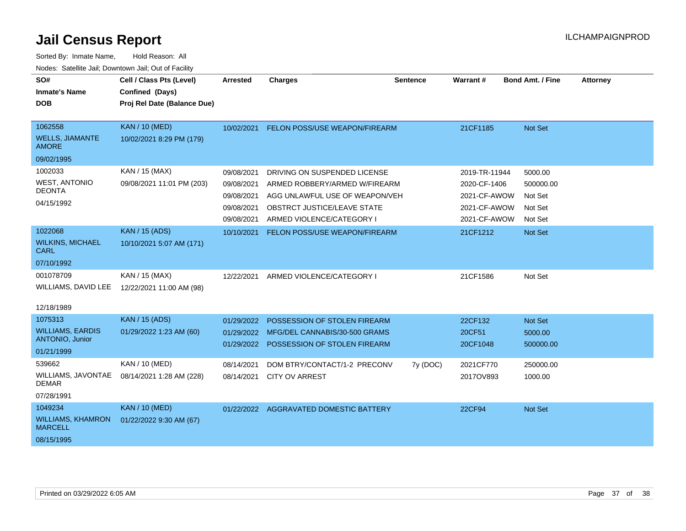| SO#                                               | Cell / Class Pts (Level)    | <b>Arrested</b> | Charges                                | <b>Sentence</b> | <b>Warrant#</b> | <b>Bond Amt. / Fine</b> | <b>Attorney</b> |
|---------------------------------------------------|-----------------------------|-----------------|----------------------------------------|-----------------|-----------------|-------------------------|-----------------|
| <b>Inmate's Name</b>                              | Confined (Days)             |                 |                                        |                 |                 |                         |                 |
| <b>DOB</b>                                        | Proj Rel Date (Balance Due) |                 |                                        |                 |                 |                         |                 |
|                                                   |                             |                 |                                        |                 |                 |                         |                 |
| 1062558                                           | <b>KAN / 10 (MED)</b>       | 10/02/2021      | FELON POSS/USE WEAPON/FIREARM          |                 | 21CF1185        | Not Set                 |                 |
| <b>WELLS, JIAMANTE</b><br><b>AMORE</b>            | 10/02/2021 8:29 PM (179)    |                 |                                        |                 |                 |                         |                 |
| 09/02/1995                                        |                             |                 |                                        |                 |                 |                         |                 |
| 1002033                                           | KAN / 15 (MAX)              | 09/08/2021      | DRIVING ON SUSPENDED LICENSE           |                 | 2019-TR-11944   | 5000.00                 |                 |
| <b>WEST, ANTONIO</b>                              | 09/08/2021 11:01 PM (203)   | 09/08/2021      | ARMED ROBBERY/ARMED W/FIREARM          |                 | 2020-CF-1406    | 500000.00               |                 |
| <b>DEONTA</b>                                     |                             | 09/08/2021      | AGG UNLAWFUL USE OF WEAPON/VEH         |                 | 2021-CF-AWOW    | Not Set                 |                 |
| 04/15/1992                                        |                             | 09/08/2021      | OBSTRCT JUSTICE/LEAVE STATE            |                 | 2021-CF-AWOW    | Not Set                 |                 |
|                                                   |                             | 09/08/2021      | ARMED VIOLENCE/CATEGORY I              |                 | 2021-CF-AWOW    | Not Set                 |                 |
| 1022068                                           | <b>KAN / 15 (ADS)</b>       | 10/10/2021      | FELON POSS/USE WEAPON/FIREARM          |                 | 21CF1212        | <b>Not Set</b>          |                 |
| <b>WILKINS, MICHAEL</b><br><b>CARL</b>            | 10/10/2021 5:07 AM (171)    |                 |                                        |                 |                 |                         |                 |
| 07/10/1992                                        |                             |                 |                                        |                 |                 |                         |                 |
| 001078709                                         | KAN / 15 (MAX)              | 12/22/2021      | ARMED VIOLENCE/CATEGORY I              |                 | 21CF1586        | Not Set                 |                 |
| WILLIAMS, DAVID LEE                               | 12/22/2021 11:00 AM (98)    |                 |                                        |                 |                 |                         |                 |
|                                                   |                             |                 |                                        |                 |                 |                         |                 |
| 12/18/1989                                        |                             |                 |                                        |                 |                 |                         |                 |
| 1075313                                           | <b>KAN / 15 (ADS)</b>       | 01/29/2022      | POSSESSION OF STOLEN FIREARM           |                 | 22CF132         | Not Set                 |                 |
| <b>WILLIAMS, EARDIS</b><br><b>ANTONIO, Junior</b> | 01/29/2022 1:23 AM (60)     | 01/29/2022      | MFG/DEL CANNABIS/30-500 GRAMS          |                 | 20CF51          | 5000.00                 |                 |
| 01/21/1999                                        |                             | 01/29/2022      | POSSESSION OF STOLEN FIREARM           |                 | 20CF1048        | 500000.00               |                 |
| 539662                                            | KAN / 10 (MED)              | 08/14/2021      | DOM BTRY/CONTACT/1-2 PRECONV           | 7y (DOC)        | 2021CF770       | 250000.00               |                 |
| WILLIAMS, JAVONTAE                                | 08/14/2021 1:28 AM (228)    | 08/14/2021      | <b>CITY OV ARREST</b>                  |                 | 2017OV893       | 1000.00                 |                 |
| <b>DEMAR</b>                                      |                             |                 |                                        |                 |                 |                         |                 |
| 07/28/1991                                        |                             |                 |                                        |                 |                 |                         |                 |
| 1049234                                           | <b>KAN / 10 (MED)</b>       |                 | 01/22/2022 AGGRAVATED DOMESTIC BATTERY |                 | 22CF94          | Not Set                 |                 |
| <b>WILLIAMS, KHAMRON</b><br><b>MARCELL</b>        | 01/22/2022 9:30 AM (67)     |                 |                                        |                 |                 |                         |                 |
| 08/15/1995                                        |                             |                 |                                        |                 |                 |                         |                 |